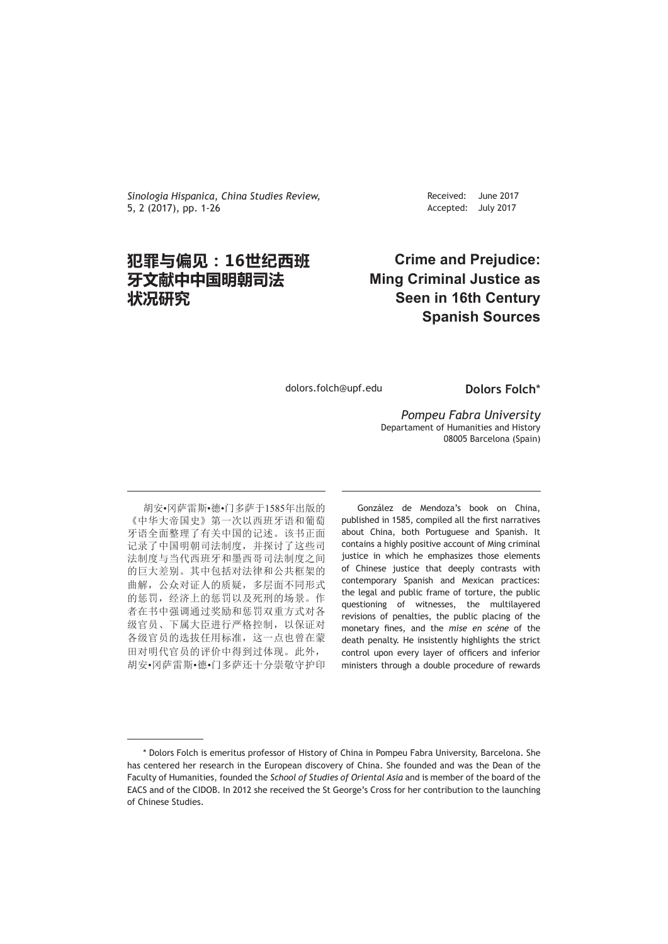*Sinologia Hispanica*, *China Studies Review,* 5, 2 (2017), pp. 1-26

# **犯罪与偏见:16世纪西班 牙文献中中国明朝司法 状况研究**

Received: Accepted: June 2017 July 2017

# **Crime and Prejudice: Ming Criminal Justice as Seen in 16th Century Spanish Sources**

dolors.folch@upf.edu

**Dolors Folch**\*

*Pompeu Fabra University* Departament of Humanities and History 08005 Barcelona (Spain)

胡安•冈萨雷斯•德•门多萨于1585年出版的 《中华大帝国史》第一次以西班牙语和葡萄 牙语全面整理了有关中国的记述。该书正面 记录了中国明朝司法制度,并探讨了这些司 法制度与当代西班牙和墨西哥司法制度之间 的巨大差别。其中包括对法律和公共框架的 曲解,公众对证人的质疑,多层面不同形式 的惩罚,经济上的惩罚以及死刑的场景。作 者在书中强调通过奖励和惩罚双重方式对各 级官员、下属大臣进行严格控制,以保证对 各级官员的选拔任用标准,这一点也曾在蒙 田对明代官员的评价中得到过体现。此外, 胡安•冈萨雷斯•德•门多萨还十分崇敬守护印

González de Mendoza's book on China, published in 1585, compiled all the first narratives about China, both Portuguese and Spanish. It contains a highly positive account of Ming criminal justice in which he emphasizes those elements of Chinese justice that deeply contrasts with contemporary Spanish and Mexican practices: the legal and public frame of torture, the public questioning of witnesses, the multilayered revisions of penalties, the public placing of the monetary fines, and the *mise en scène* of the death penalty. He insistently highlights the strict control upon every layer of officers and inferior ministers through a double procedure of rewards

<sup>\*</sup> Dolors Folch is emeritus professor of History of China in Pompeu Fabra University, Barcelona. She has centered her research in the European discovery of China. She founded and was the Dean of the Faculty of Humanities, founded the *School of Studies of Oriental Asia* and is member of the board of the EACS and of the CIDOB. In 2012 she received the St George's Cross for her contribution to the launching of Chinese Studies.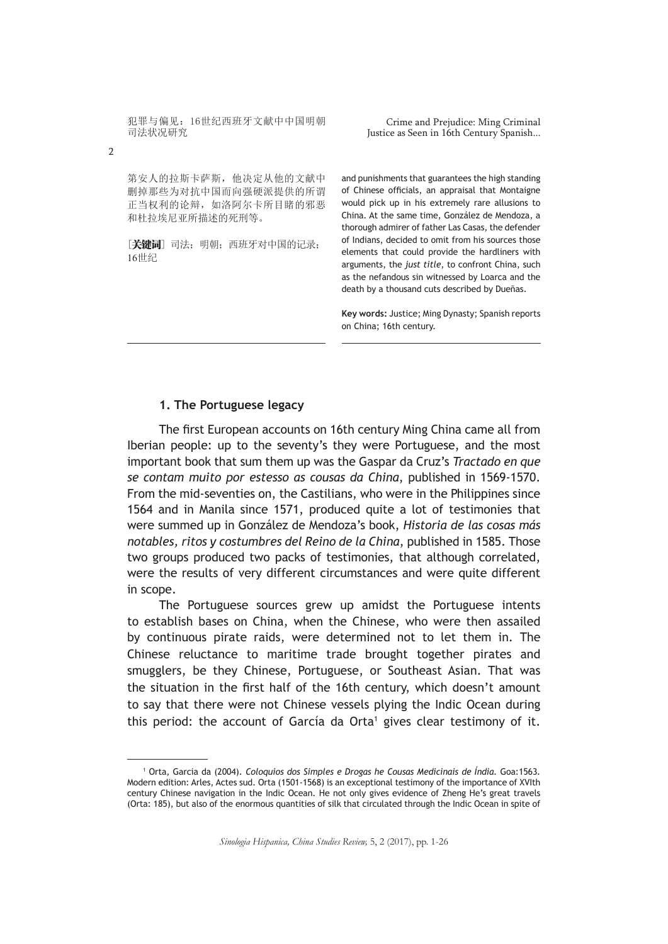Crime and Prejudice: Ming Criminal Justice as Seen in 16th Century Spanish...

第安人的拉斯卡萨斯,他决定从他的文献中 删掉那些为对抗中国而向强硬派提供的所谓 正当权利的论辩,如洛阿尔卡所目睹的邪恶 和杜拉埃尼亚所描述的死刑等。

[关键词] 司法; 明朝; 西班牙对中国的记录; 16世纪

and punishments that guarantees the high standing of Chinese officials, an appraisal that Montaigne would pick up in his extremely rare allusions to China. At the same time, González de Mendoza, a thorough admirer of father Las Casas, the defender of Indians, decided to omit from his sources those elements that could provide the hardliners with arguments, the *just title*, to confront China, such as the nefandous sin witnessed by Loarca and the death by a thousand cuts described by Dueñas.

**Key words:** Justice; Ming Dynasty; Spanish reports on China; 16th century.

## **1. The Portuguese legacy**

The first European accounts on 16th century Ming China came all from Iberian people: up to the seventy's they were Portuguese, and the most important book that sum them up was the Gaspar da Cruz's *Tractado en que se contam muito por estesso as cousas da China*, published in 1569-1570. From the mid-seventies on, the Castilians, who were in the Philippines since 1564 and in Manila since 1571, produced quite a lot of testimonies that were summed up in González de Mendoza's book, *Historia de las cosas más notables, ritos y costumbres del Reino de la China*, published in 1585. Those two groups produced two packs of testimonies, that although correlated, were the results of very different circumstances and were quite different in scope.

The Portuguese sources grew up amidst the Portuguese intents to establish bases on China, when the Chinese, who were then assailed by continuous pirate raids, were determined not to let them in. The Chinese reluctance to maritime trade brought together pirates and smugglers, be they Chinese, Portuguese, or Southeast Asian. That was the situation in the first half of the 16th century, which doesn't amount to say that there were not Chinese vessels plying the Indic Ocean during this period: the account of García da Orta<sup>1</sup> gives clear testimony of it.

*Sinologia Hispanica, China Studies Review,* 5, 2 (2017), pp. 1-26

<sup>1</sup> Orta, Garcia da (2004). *Coloquios dos Simples e Drogas he Cousas Medicinais de Índia.* Goa:1563*.* Modern edition: Arles, Actes sud. Orta (1501-1568) is an exceptional testimony of the importance of XVIth century Chinese navigation in the Indic Ocean. He not only gives evidence of Zheng He's great travels (Orta: 185), but also of the enormous quantities of silk that circulated through the Indic Ocean in spite of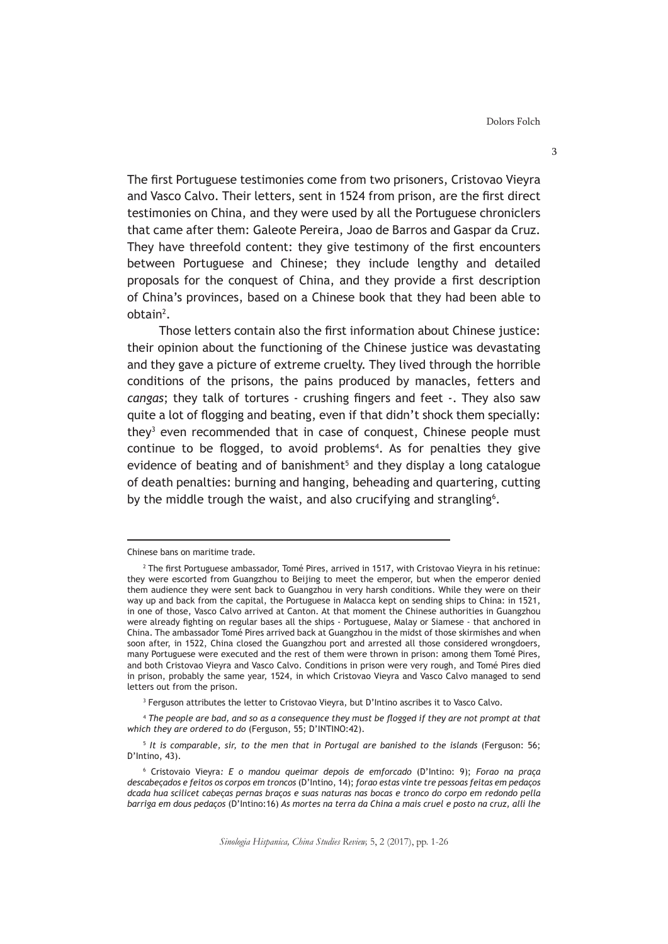The first Portuguese testimonies come from two prisoners, Cristovao Vieyra and Vasco Calvo. Their letters, sent in 1524 from prison, are the first direct testimonies on China, and they were used by all the Portuguese chroniclers that came after them: Galeote Pereira, Joao de Barros and Gaspar da Cruz. They have threefold content: they give testimony of the first encounters between Portuguese and Chinese; they include lengthy and detailed proposals for the conquest of China, and they provide a first description of China's provinces, based on a Chinese book that they had been able to obtain<sup>2</sup>.

Those letters contain also the first information about Chinese justice: their opinion about the functioning of the Chinese justice was devastating and they gave a picture of extreme cruelty. They lived through the horrible conditions of the prisons, the pains produced by manacles, fetters and *cangas*; they talk of tortures - crushing fingers and feet -. They also saw quite a lot of flogging and beating, even if that didn't shock them specially: they<sup>3</sup> even recommended that in case of conquest, Chinese people must continue to be flogged, to avoid problems<sup>4</sup>. As for penalties they give evidence of beating and of banishment<sup>5</sup> and they display a long catalogue of death penalties: burning and hanging, beheading and quartering, cutting by the middle trough the waist, and also crucifying and strangling<sup>6</sup>.

3 Ferguson attributes the letter to Cristovao Vieyra, but D'Intino ascribes it to Vasco Calvo.

4  *The people are bad, and so as a consequence they must be flogged if they are not prompt at that which they are ordered to do* (Ferguson, 55; D'INTINO:42).

5  *It is comparable, sir, to the men that in Portugal are banished to the islands* (Ferguson: 56; D'Intino, 43).

Chinese bans on maritime trade.

<sup>2</sup> The first Portuguese ambassador, Tomé Pires, arrived in 1517, with Cristovao Vieyra in his retinue: they were escorted from Guangzhou to Beijing to meet the emperor, but when the emperor denied them audience they were sent back to Guangzhou in very harsh conditions. While they were on their way up and back from the capital, the Portuguese in Malacca kept on sending ships to China: in 1521, in one of those, Vasco Calvo arrived at Canton. At that moment the Chinese authorities in Guangzhou were already fighting on regular bases all the ships - Portuguese, Malay or Siamese - that anchored in China. The ambassador Tomé Pires arrived back at Guangzhou in the midst of those skirmishes and when soon after, in 1522, China closed the Guangzhou port and arrested all those considered wrongdoers, many Portuguese were executed and the rest of them were thrown in prison: among them Tomé Pires, and both Cristovao Vieyra and Vasco Calvo. Conditions in prison were very rough, and Tomé Pires died in prison, probably the same year, 1524, in which Cristovao Vieyra and Vasco Calvo managed to send letters out from the prison.

<sup>6</sup> Cristovaio Vieyra*: E o mandou queimar depois de emforcado* (D'Intino: 9); *Forao na praça descabeçados e feitos os corpos em troncos* (D'Intino, 14); *forao estas vinte tre pessoas feitas em pedaços dcada hua scilicet cabeças pernas braços e suas naturas nas bocas e tronco do corpo em redondo pella barriga em dous pedaços* (D'Intino:16) *As mortes na terra da China a mais cruel e posto na cruz, alli lhe*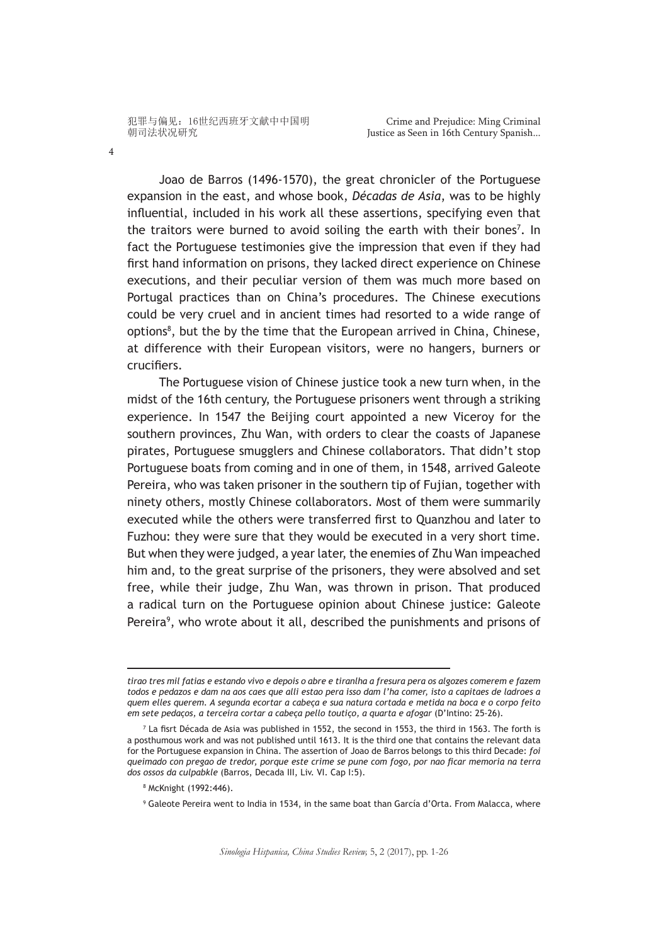4

Joao de Barros (1496-1570), the great chronicler of the Portuguese expansion in the east, and whose book, *Décadas de Asia*, was to be highly influential, included in his work all these assertions, specifying even that the traitors were burned to avoid soiling the earth with their bones<sup>7</sup>. In fact the Portuguese testimonies give the impression that even if they had first hand information on prisons, they lacked direct experience on Chinese executions, and their peculiar version of them was much more based on Portugal practices than on China's procedures. The Chinese executions could be very cruel and in ancient times had resorted to a wide range of options<sup>8</sup>, but the by the time that the European arrived in China, Chinese, at difference with their European visitors, were no hangers, burners or crucifiers.

The Portuguese vision of Chinese justice took a new turn when, in the midst of the 16th century, the Portuguese prisoners went through a striking experience. In 1547 the Beijing court appointed a new Viceroy for the southern provinces, Zhu Wan, with orders to clear the coasts of Japanese pirates, Portuguese smugglers and Chinese collaborators. That didn't stop Portuguese boats from coming and in one of them, in 1548, arrived Galeote Pereira, who was taken prisoner in the southern tip of Fujian, together with ninety others, mostly Chinese collaborators. Most of them were summarily executed while the others were transferred first to Quanzhou and later to Fuzhou: they were sure that they would be executed in a very short time. But when they were judged, a year later, the enemies of Zhu Wan impeached him and, to the great surprise of the prisoners, they were absolved and set free, while their judge, Zhu Wan, was thrown in prison. That produced a radical turn on the Portuguese opinion about Chinese justice: Galeote Pereira<sup>9</sup>, who wrote about it all, described the punishments and prisons of

*tirao tres mil fatias e estando vivo e depois o abre e tiranlha a fresura pera os algozes comerem e fazem todos e pedazos e dam na aos caes que alli estao pera isso dam l'ha comer, isto a capitaes de ladroes a quem elles querem. A segunda ecortar a cabeça e sua natura cortada e metida na boca e o corpo feito em sete pedaços, a terceira cortar a cabeça pello toutiço, a quarta e afogar* (D'Intino: 25-26).

<sup>7</sup> La fisrt Década de Asia was published in 1552, the second in 1553, the third in 1563. The forth is a posthumous work and was not published until 1613. It is the third one that contains the relevant data for the Portuguese expansion in China. The assertion of Joao de Barros belongs to this third Decade: *foi queimado con pregao de tredor, porque este crime se pune com fogo, por nao ficar memoria na terra dos ossos da culpabkle* (Barros, Decada III, Liv. VI. Cap I:5).

<sup>8</sup> McKnight (1992:446).

<sup>9</sup> Galeote Pereira went to India in 1534, in the same boat than García d'Orta. From Malacca, where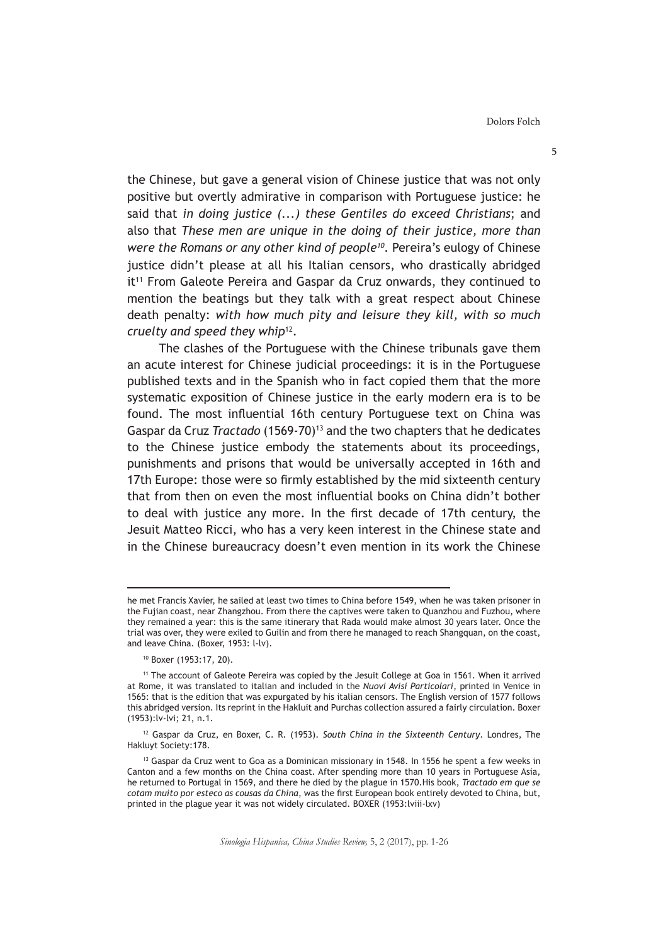the Chinese, but gave a general vision of Chinese justice that was not only positive but overtly admirative in comparison with Portuguese justice: he said that *in doing justice (...) these Gentiles do exceed Christians*; and also that *These men are unique in the doing of their justice, more than were the Romans or any other kind of people10.* Pereira's eulogy of Chinese justice didn't please at all his Italian censors, who drastically abridged it<sup>11</sup> From Galeote Pereira and Gaspar da Cruz onwards, they continued to mention the beatings but they talk with a great respect about Chinese death penalty: *with how much pity and leisure they kill, with so much cruelty and speed they whip*12.

The clashes of the Portuguese with the Chinese tribunals gave them an acute interest for Chinese judicial proceedings: it is in the Portuguese published texts and in the Spanish who in fact copied them that the more systematic exposition of Chinese justice in the early modern era is to be found. The most influential 16th century Portuguese text on China was Gaspar da Cruz *Tractado* (1569-70)13 and the two chapters that he dedicates to the Chinese justice embody the statements about its proceedings, punishments and prisons that would be universally accepted in 16th and 17th Europe: those were so firmly established by the mid sixteenth century that from then on even the most influential books on China didn't bother to deal with justice any more. In the first decade of 17th century, the Jesuit Matteo Ricci, who has a very keen interest in the Chinese state and in the Chinese bureaucracy doesn't even mention in its work the Chinese

he met Francis Xavier, he sailed at least two times to China before 1549, when he was taken prisoner in the Fujian coast, near Zhangzhou. From there the captives were taken to Quanzhou and Fuzhou, where they remained a year: this is the same itinerary that Rada would make almost 30 years later. Once the trial was over, they were exiled to Guilin and from there he managed to reach Shangquan, on the coast, and leave China. (Boxer, 1953: l-lv).

<sup>10</sup> Boxer (1953:17, 20).

<sup>11</sup> The account of Galeote Pereira was copied by the Jesuit College at Goa in 1561. When it arrived at Rome, it was translated to italian and included in the *Nuovi Avisi Particolari*, printed in Venice in 1565: that is the edition that was expurgated by his italian censors. The English version of 1577 follows this abridged version. Its reprint in the Hakluit and Purchas collection assured a fairly circulation. Boxer (1953):lv-lvi; 21, n.1.

<sup>12</sup> Gaspar da Cruz, en Boxer, C. R. (1953). *South China in the Sixteenth Century*. Londres, The Hakluyt Society:178.

<sup>&</sup>lt;sup>13</sup> Gaspar da Cruz went to Goa as a Dominican missionary in 1548. In 1556 he spent a few weeks in Canton and a few months on the China coast. After spending more than 10 years in Portuguese Asia, he returned to Portugal in 1569, and there he died by the plague in 1570.His book, *Tractado em que se cotam muito por esteco as cousas da China*, was the first European book entirely devoted to China, but, printed in the plague year it was not widely circulated. BOXER (1953:lviii-lxv)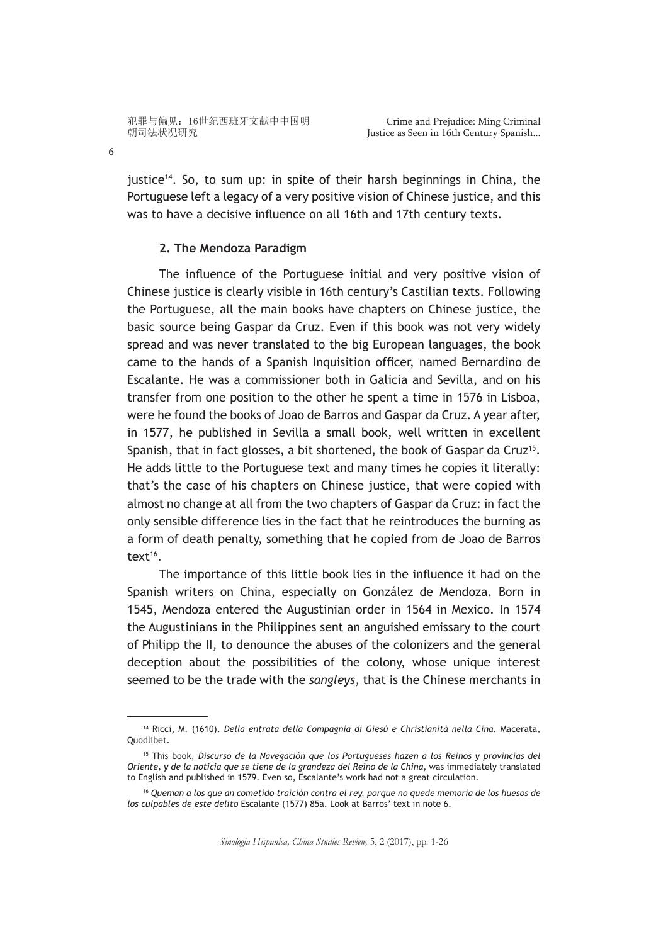6

justice<sup>14</sup>. So, to sum up: in spite of their harsh beginnings in China, the Portuguese left a legacy of a very positive vision of Chinese justice, and this was to have a decisive influence on all 16th and 17th century texts.

## **2. The Mendoza Paradigm**

The influence of the Portuguese initial and very positive vision of Chinese justice is clearly visible in 16th century's Castilian texts. Following the Portuguese, all the main books have chapters on Chinese justice, the basic source being Gaspar da Cruz. Even if this book was not very widely spread and was never translated to the big European languages, the book came to the hands of a Spanish Inquisition officer, named Bernardino de Escalante. He was a commissioner both in Galicia and Sevilla, and on his transfer from one position to the other he spent a time in 1576 in Lisboa, were he found the books of Joao de Barros and Gaspar da Cruz. A year after, in 1577, he published in Sevilla a small book, well written in excellent Spanish, that in fact glosses, a bit shortened, the book of Gaspar da Cruz<sup>15</sup>. He adds little to the Portuguese text and many times he copies it literally: that's the case of his chapters on Chinese justice, that were copied with almost no change at all from the two chapters of Gaspar da Cruz: in fact the only sensible difference lies in the fact that he reintroduces the burning as a form of death penalty, something that he copied from de Joao de Barros text<sup>16</sup>.

The importance of this little book lies in the influence it had on the Spanish writers on China, especially on González de Mendoza. Born in 1545, Mendoza entered the Augustinian order in 1564 in Mexico. In 1574 the Augustinians in the Philippines sent an anguished emissary to the court of Philipp the II, to denounce the abuses of the colonizers and the general deception about the possibilities of the colony, whose unique interest seemed to be the trade with the *sangleys*, that is the Chinese merchants in

<sup>14</sup> Ricci, M. (1610). *Della entrata della Compagnia di Giesú e Christianità nella Cina.* Macerata, Quodlibet.

<sup>15</sup> This book, *Discurso de la Navegación que los Portugueses hazen a los Reinos y provincias del Oriente, y de la noticia que se tiene de la grandeza del Reino de la China*, was immediately translated to English and published in 1579. Even so, Escalante's work had not a great circulation.

<sup>16</sup> *Queman a los que an cometido traición contra el rey, porque no quede memoria de los huesos de los culpables de este delito* Escalante (1577) 85a. Look at Barros' text in note 6.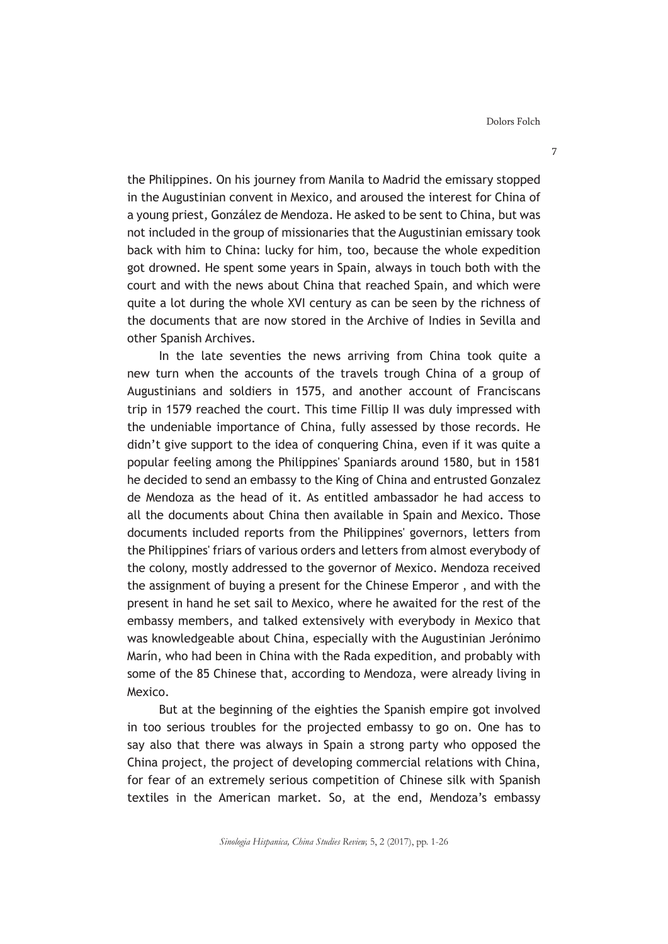the Philippines. On his journey from Manila to Madrid the emissary stopped in the Augustinian convent in Mexico, and aroused the interest for China of a young priest, González de Mendoza. He asked to be sent to China, but was not included in the group of missionaries that the Augustinian emissary took back with him to China: lucky for him, too, because the whole expedition got drowned. He spent some years in Spain, always in touch both with the court and with the news about China that reached Spain, and which were quite a lot during the whole XVI century as can be seen by the richness of the documents that are now stored in the Archive of Indies in Sevilla and other Spanish Archives.

In the late seventies the news arriving from China took quite a new turn when the accounts of the travels trough China of a group of Augustinians and soldiers in 1575, and another account of Franciscans trip in 1579 reached the court. This time Fillip II was duly impressed with the undeniable importance of China, fully assessed by those records. He didn't give support to the idea of conquering China, even if it was quite a popular feeling among the Philippines' Spaniards around 1580, but in 1581 he decided to send an embassy to the King of China and entrusted Gonzalez de Mendoza as the head of it. As entitled ambassador he had access to all the documents about China then available in Spain and Mexico. Those documents included reports from the Philippines' governors, letters from the Philippines' friars of various orders and letters from almost everybody of the colony, mostly addressed to the governor of Mexico. Mendoza received the assignment of buying a present for the Chinese Emperor , and with the present in hand he set sail to Mexico, where he awaited for the rest of the embassy members, and talked extensively with everybody in Mexico that was knowledgeable about China, especially with the Augustinian Jerónimo Marín, who had been in China with the Rada expedition, and probably with some of the 85 Chinese that, according to Mendoza, were already living in Mexico.

But at the beginning of the eighties the Spanish empire got involved in too serious troubles for the projected embassy to go on. One has to say also that there was always in Spain a strong party who opposed the China project, the project of developing commercial relations with China, for fear of an extremely serious competition of Chinese silk with Spanish textiles in the American market. So, at the end, Mendoza's embassy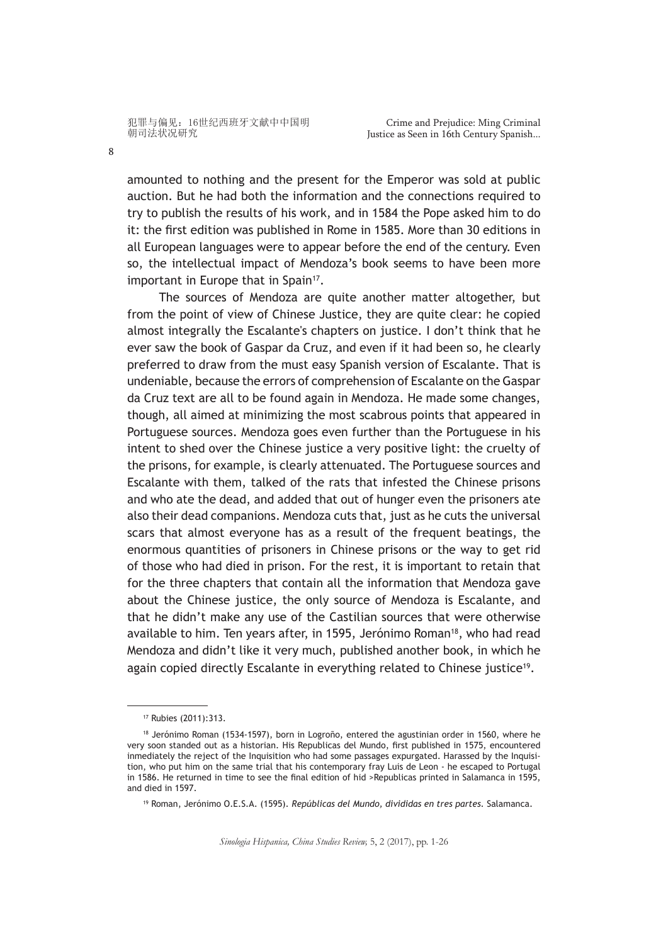amounted to nothing and the present for the Emperor was sold at public auction. But he had both the information and the connections required to try to publish the results of his work, and in 1584 the Pope asked him to do it: the first edition was published in Rome in 1585. More than 30 editions in all European languages were to appear before the end of the century. Even so, the intellectual impact of Mendoza's book seems to have been more important in Europe that in Spain<sup>17</sup>.

The sources of Mendoza are quite another matter altogether, but from the point of view of Chinese Justice, they are quite clear: he copied almost integrally the Escalante's chapters on justice. I don't think that he ever saw the book of Gaspar da Cruz, and even if it had been so, he clearly preferred to draw from the must easy Spanish version of Escalante. That is undeniable, because the errors of comprehension of Escalante on the Gaspar da Cruz text are all to be found again in Mendoza. He made some changes, though, all aimed at minimizing the most scabrous points that appeared in Portuguese sources. Mendoza goes even further than the Portuguese in his intent to shed over the Chinese justice a very positive light: the cruelty of the prisons, for example, is clearly attenuated. The Portuguese sources and Escalante with them, talked of the rats that infested the Chinese prisons and who ate the dead, and added that out of hunger even the prisoners ate also their dead companions. Mendoza cuts that, just as he cuts the universal scars that almost everyone has as a result of the frequent beatings, the enormous quantities of prisoners in Chinese prisons or the way to get rid of those who had died in prison. For the rest, it is important to retain that for the three chapters that contain all the information that Mendoza gave about the Chinese justice, the only source of Mendoza is Escalante, and that he didn't make any use of the Castilian sources that were otherwise available to him. Ten years after, in 1595, Jerónimo Roman<sup>18</sup>, who had read Mendoza and didn't like it very much, published another book, in which he again copied directly Escalante in everything related to Chinese justice<sup>19</sup>.

*Sinologia Hispanica, China Studies Review,* 5, 2 (2017), pp. 1-26

<sup>17</sup> Rubies (2011):313.

<sup>18</sup> Jerónimo Roman (1534-1597), born in Logroño, entered the agustinian order in 1560, where he very soon standed out as a historian. His Republicas del Mundo, first published in 1575, encountered inmediately the reject of the Inquisition who had some passages expurgated. Harassed by the Inquisition, who put him on the same trial that his contemporary fray Luis de Leon - he escaped to Portugal in 1586. He returned in time to see the final edition of hid >Republicas printed in Salamanca in 1595, and died in 1597.

<sup>19</sup> Roman, Jerónimo O.E.S.A. (1595). *Repúblicas del Mundo, divididas en tres partes.* Salamanca.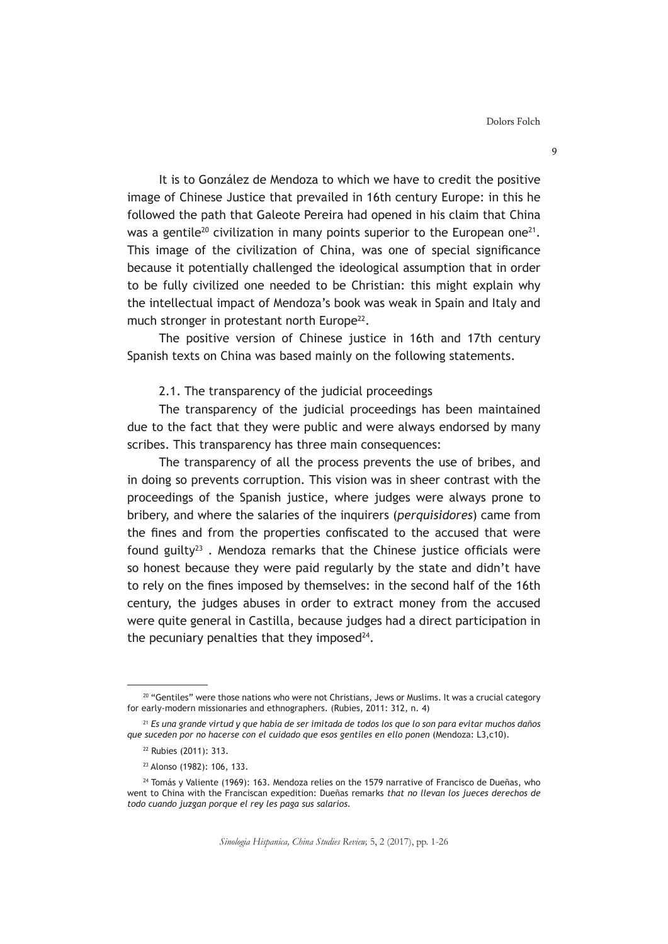Dolors Folch

9

It is to González de Mendoza to which we have to credit the positive image of Chinese Justice that prevailed in 16th century Europe: in this he followed the path that Galeote Pereira had opened in his claim that China was a gentile<sup>20</sup> civilization in many points superior to the European one<sup>21</sup>. This image of the civilization of China, was one of special significance because it potentially challenged the ideological assumption that in order to be fully civilized one needed to be Christian: this might explain why the intellectual impact of Mendoza's book was weak in Spain and Italy and much stronger in protestant north Europe<sup>22</sup>.

The positive version of Chinese justice in 16th and 17th century Spanish texts on China was based mainly on the following statements.

2.1. The transparency of the judicial proceedings

The transparency of the judicial proceedings has been maintained due to the fact that they were public and were always endorsed by many scribes. This transparency has three main consequences:

The transparency of all the process prevents the use of bribes, and in doing so prevents corruption. This vision was in sheer contrast with the proceedings of the Spanish justice, where judges were always prone to bribery, and where the salaries of the inquirers (*perquisidores*) came from the fines and from the properties confiscated to the accused that were found guilty<sup>23</sup>. Mendoza remarks that the Chinese justice officials were so honest because they were paid regularly by the state and didn't have to rely on the fines imposed by themselves: in the second half of the 16th century, the judges abuses in order to extract money from the accused were quite general in Castilla, because judges had a direct participation in the pecuniary penalties that they imposed $24$ .

<sup>&</sup>lt;sup>20</sup> "Gentiles" were those nations who were not Christians, Jews or Muslims. It was a crucial category for early-modern missionaries and ethnographers. (Rubies, 2011: 312, n. 4)

<sup>21</sup> *Es una grande virtud y que había de ser imitada de todos los que lo son para evitar muchos daños que suceden por no hacerse con el cuidado que esos gentiles en ello ponen* (Mendoza: L3,c10).

<sup>22</sup> Rubies (2011): 313.

<sup>23</sup> Alonso (1982): 106, 133.

<sup>&</sup>lt;sup>24</sup> Tomás y Valiente (1969): 163. Mendoza relies on the 1579 narrative of Francisco de Dueñas, who went to China with the Franciscan expedition: Dueñas remarks *that no llevan los jueces derechos de todo cuando juzgan porque el rey les paga sus salarios.*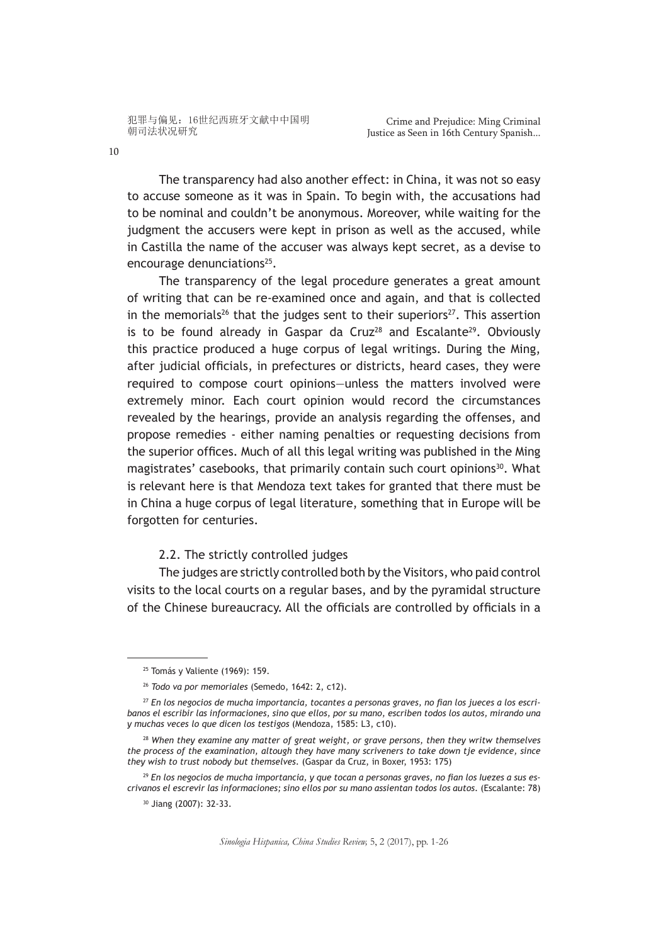The transparency had also another effect: in China, it was not so easy to accuse someone as it was in Spain. To begin with, the accusations had to be nominal and couldn't be anonymous. Moreover, while waiting for the judgment the accusers were kept in prison as well as the accused, while in Castilla the name of the accuser was always kept secret, as a devise to encourage denunciations<sup>25</sup>.

The transparency of the legal procedure generates a great amount of writing that can be re-examined once and again, and that is collected in the memorials<sup>26</sup> that the judges sent to their superiors<sup>27</sup>. This assertion is to be found already in Gaspar da Cruz<sup>28</sup> and Escalante<sup>29</sup>. Obviously this practice produced a huge corpus of legal writings. During the Ming, after judicial officials, in prefectures or districts, heard cases, they were required to compose court opinions—unless the matters involved were extremely minor. Each court opinion would record the circumstances revealed by the hearings, provide an analysis regarding the offenses, and propose remedies - either naming penalties or requesting decisions from the superior offices. Much of all this legal writing was published in the Ming magistrates' casebooks, that primarily contain such court opinions<sup>30</sup>. What is relevant here is that Mendoza text takes for granted that there must be in China a huge corpus of legal literature, something that in Europe will be forgotten for centuries.

2.2. The strictly controlled judges

The judges are strictly controlled both by the Visitors, who paid control visits to the local courts on a regular bases, and by the pyramidal structure of the Chinese bureaucracy. All the officials are controlled by officials in a

*Sinologia Hispanica, China Studies Review,* 5, 2 (2017), pp. 1-26

<sup>25</sup> Tomás y Valiente (1969): 159.

<sup>26</sup> *Todo va por memoriales* (Semedo, 1642: 2, c12).

<sup>27</sup> *En los negocios de mucha importancia, tocantes a personas graves, no fian los jueces a los escribanos el escribir las informaciones, sino que ellos, por su mano, escriben todos los autos, mirando una y muchas veces lo que dicen los testigos* (Mendoza, 1585: L3, c10).

<sup>28</sup> *When they examine any matter of great weight, or grave persons, then they writw themselves the process of the examination, altough they have many scriveners to take down tje evidence, since they wish to trust nobody but themselves*. (Gaspar da Cruz, in Boxer, 1953: 175)

<sup>29</sup> *En los negocios de mucha importancia, y que tocan a personas graves, no fian los Iuezes a sus escrivanos el escrevir las informaciones; sino ellos por su mano assientan todos los autos.* (Escalante: 78)

<sup>30</sup> Jiang (2007): 32-33.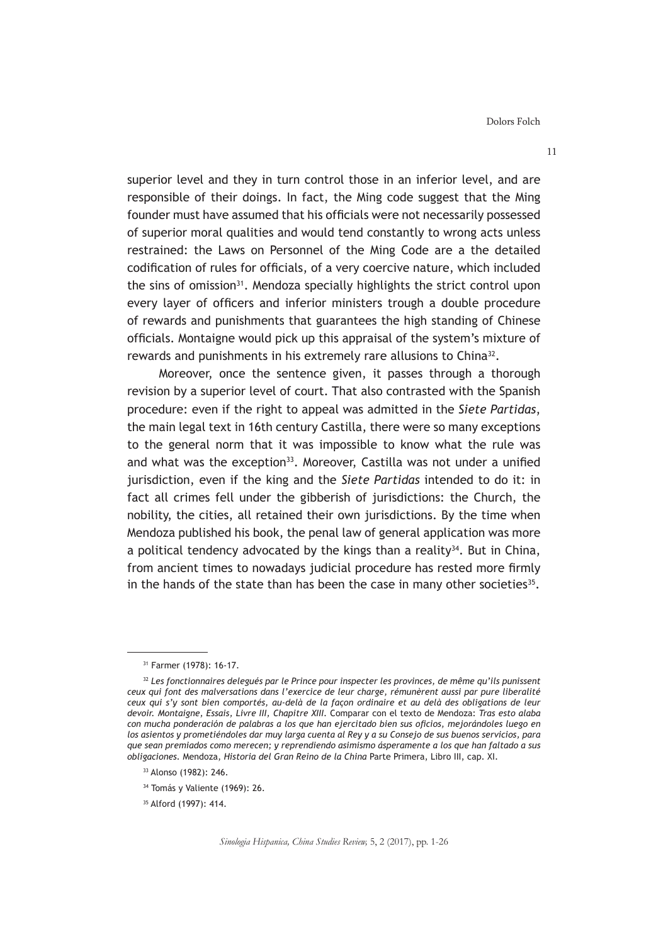superior level and they in turn control those in an inferior level, and are responsible of their doings. In fact, the Ming code suggest that the Ming founder must have assumed that his officials were not necessarily possessed of superior moral qualities and would tend constantly to wrong acts unless restrained: the Laws on Personnel of the Ming Code are a the detailed codification of rules for officials, of a very coercive nature, which included the sins of omission<sup>31</sup>. Mendoza specially highlights the strict control upon every layer of officers and inferior ministers trough a double procedure of rewards and punishments that guarantees the high standing of Chinese officials. Montaigne would pick up this appraisal of the system's mixture of rewards and punishments in his extremely rare allusions to China<sup>32</sup>.

Moreover, once the sentence given, it passes through a thorough revision by a superior level of court. That also contrasted with the Spanish procedure: even if the right to appeal was admitted in the *Siete Partidas*, the main legal text in 16th century Castilla, there were so many exceptions to the general norm that it was impossible to know what the rule was and what was the exception<sup>33</sup>. Moreover, Castilla was not under a unified jurisdiction, even if the king and the *Siete Partidas* intended to do it: in fact all crimes fell under the gibberish of jurisdictions: the Church, the nobility, the cities, all retained their own jurisdictions. By the time when Mendoza published his book, the penal law of general application was more a political tendency advocated by the kings than a reality<sup>34</sup>. But in China, from ancient times to nowadays judicial procedure has rested more firmly in the hands of the state than has been the case in many other societies<sup>35</sup>.

<sup>31</sup> Farmer (1978): 16-17.

<sup>32</sup> *Les fonctionnaires delegués par le Prince pour inspecter les provinces, de même qu'ils punissent ceux qui font des malversations dans l'exercice de leur charge, rémunèrent aussi par pure liberalité ceux qui s'y sont bien comportés, au-delà de la façon ordinaire et au delà des obligations de leur devoir. Montaigne, Essais, Livre III, Chapitre XIII.* Comparar con el texto de Mendoza: *Tras esto alaba con mucha ponderación de palabras a los que han ejercitado bien sus oficios, mejorándoles luego en los asientos y prometiéndoles dar muy larga cuenta al Rey y a su Consejo de sus buenos servicios, para que sean premiados como merecen; y reprendiendo asimismo ásperamente a los que han faltado a sus obligaciones.* Mendoza, *Historia del Gran Reino de la China* Parte Primera, Libro III, cap. XI.

<sup>33</sup> Alonso (1982): 246.

<sup>34</sup> Tomás y Valiente (1969): 26.

<sup>35</sup> Alford (1997): 414.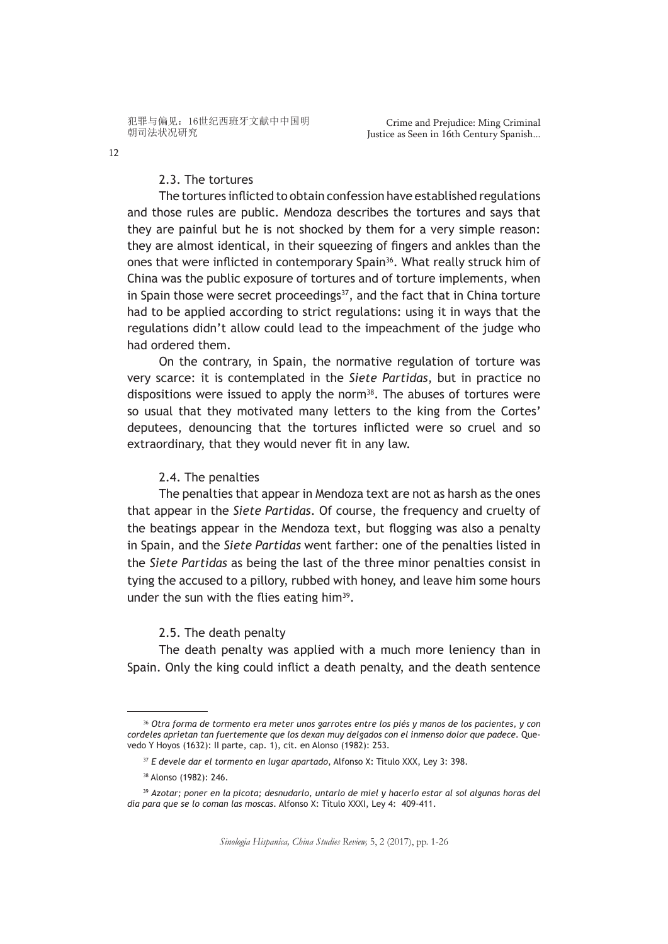2.3. The tortures

The tortures inflicted to obtain confession have established regulations and those rules are public. Mendoza describes the tortures and says that they are painful but he is not shocked by them for a very simple reason: they are almost identical, in their squeezing of fingers and ankles than the ones that were inflicted in contemporary Spain<sup>36</sup>. What really struck him of China was the public exposure of tortures and of torture implements, when in Spain those were secret proceedings<sup>37</sup>, and the fact that in China torture had to be applied according to strict regulations: using it in ways that the regulations didn't allow could lead to the impeachment of the judge who had ordered them.

On the contrary, in Spain, the normative regulation of torture was very scarce: it is contemplated in the *Siete Partidas*, but in practice no dispositions were issued to apply the norm $38$ . The abuses of tortures were so usual that they motivated many letters to the king from the Cortes' deputees, denouncing that the tortures inflicted were so cruel and so extraordinary, that they would never fit in any law.

## 2.4. The penalties

The penalties that appear in Mendoza text are not as harsh as the ones that appear in the *Siete Partidas*. Of course, the frequency and cruelty of the beatings appear in the Mendoza text, but flogging was also a penalty in Spain, and the *Siete Partidas* went farther: one of the penalties listed in the *Siete Partidas* as being the last of the three minor penalties consist in tying the accused to a pillory, rubbed with honey, and leave him some hours under the sun with the flies eating him<sup>39</sup>.

# 2.5. The death penalty

The death penalty was applied with a much more leniency than in Spain. Only the king could inflict a death penalty, and the death sentence

<sup>36</sup> *Otra forma de tormento era meter unos garrotes entre los piés y manos de los pacientes, y con cordeles aprietan tan fuertemente que los dexan muy delgados con el inmenso dolor que padece.* Quevedo Y Hoyos (1632): II parte, cap. 1), cit. en Alonso (1982): 253.

<sup>37</sup> *E devele dar el tormento en lugar apartado*, Alfonso X: Titulo XXX, Ley 3: 398.

<sup>38</sup> Alonso (1982): 246.

<sup>39</sup> *Azotar; poner en la picota; desnudarlo, untarlo de miel y hacerlo estar al sol algunas horas del día para que se lo coman las moscas*. Alfonso X: Título XXXI, Ley 4: 409-411.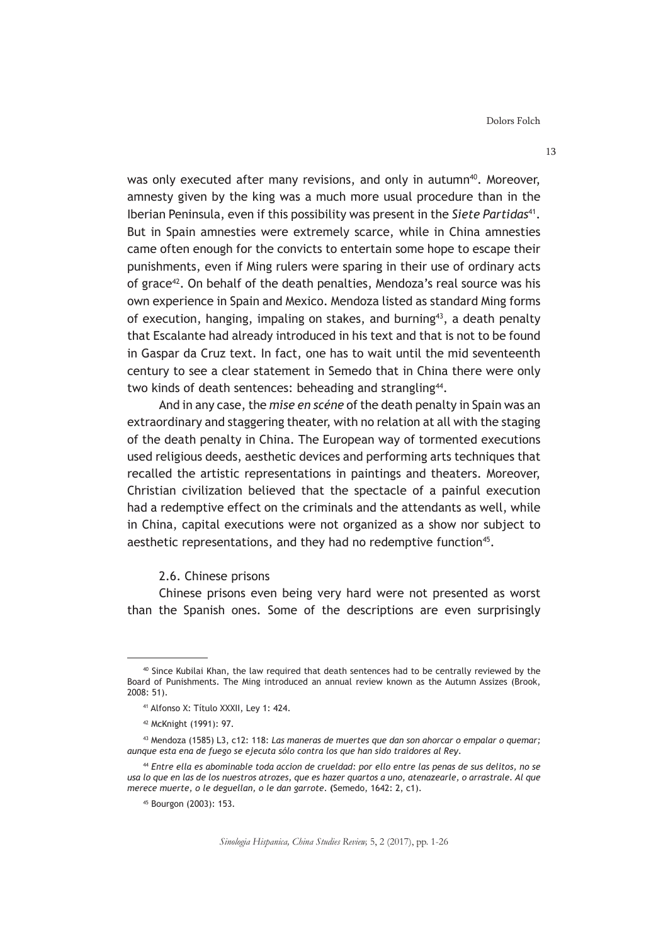was only executed after many revisions, and only in autumn<sup>40</sup>. Moreover, amnesty given by the king was a much more usual procedure than in the Iberian Peninsula, even if this possibility was present in the Siete Partidas<sup>41</sup>. But in Spain amnesties were extremely scarce, while in China amnesties came often enough for the convicts to entertain some hope to escape their punishments, even if Ming rulers were sparing in their use of ordinary acts of grace<sup>42</sup>. On behalf of the death penalties, Mendoza's real source was his own experience in Spain and Mexico. Mendoza listed as standard Ming forms of execution, hanging, impaling on stakes, and burning<sup>43</sup>, a death penalty that Escalante had already introduced in his text and that is not to be found in Gaspar da Cruz text. In fact, one has to wait until the mid seventeenth century to see a clear statement in Semedo that in China there were only two kinds of death sentences: beheading and strangling<sup>44</sup>.

And in any case, the *mise en scéne* of the death penalty in Spain was an extraordinary and staggering theater, with no relation at all with the staging of the death penalty in China. The European way of tormented executions used religious deeds, aesthetic devices and performing arts techniques that recalled the artistic representations in paintings and theaters. Moreover, Christian civilization believed that the spectacle of a painful execution had a redemptive effect on the criminals and the attendants as well, while in China, capital executions were not organized as a show nor subject to aesthetic representations, and they had no redemptive function<sup>45</sup>.

## 2.6. Chinese prisons

Chinese prisons even being very hard were not presented as worst than the Spanish ones. Some of the descriptions are even surprisingly

<sup>40</sup> Since Kubilai Khan, the law required that death sentences had to be centrally reviewed by the Board of Punishments. The Ming introduced an annual review known as the Autumn Assizes (Brook, 2008: 51).

<sup>41</sup> Alfonso X: Título XXXII, Ley 1: 424.

<sup>42</sup> McKnight (1991): 97.

<sup>43</sup> Mendoza (1585) L3, c12: 118: *Las maneras de muertes que dan son ahorcar o empalar o quemar; aunque esta ena de fuego se ejecuta sólo contra los que han sido traidores al Rey*.

<sup>44</sup> *Entre ella es abominable toda accion de crueldad: por ello entre las penas de sus delitos, no se usa lo que en las de los nuestros atrozes, que es hazer quartos a uno, atenazearle, o arrastrale. Al que merece muerte, o le deguellan, o le dan garrote*. **(**Semedo, 1642: 2, c1).

<sup>45</sup> Bourgon (2003): 153.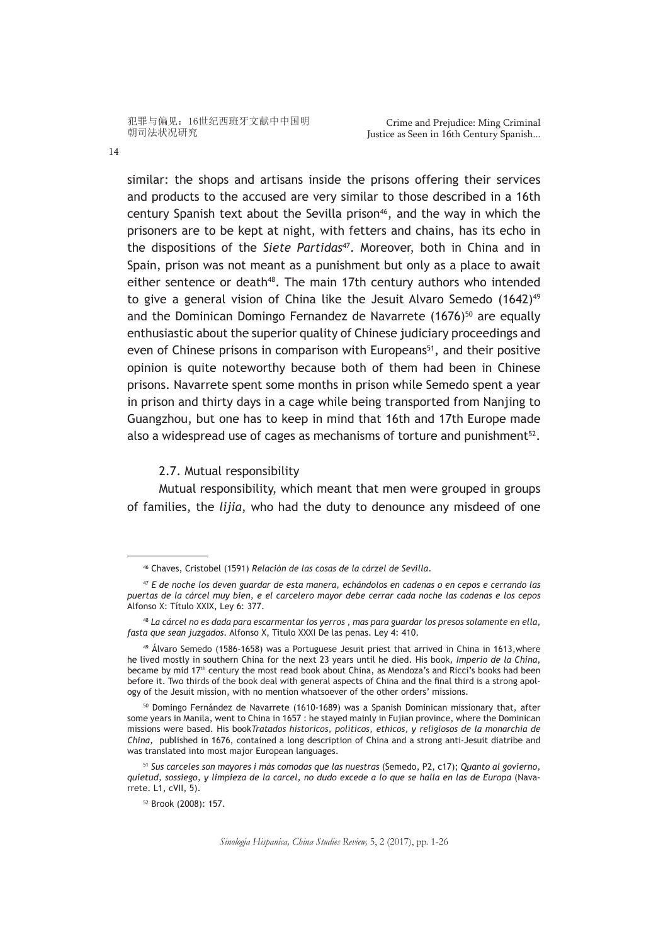similar: the shops and artisans inside the prisons offering their services and products to the accused are very similar to those described in a 16th century Spanish text about the Sevilla prison<sup>46</sup>, and the way in which the prisoners are to be kept at night, with fetters and chains, has its echo in the dispositions of the *Siete Partidas*47. Moreover, both in China and in Spain, prison was not meant as a punishment but only as a place to await either sentence or death<sup>48</sup>. The main 17th century authors who intended to give a general vision of China like the Jesuit Alvaro Semedo  $(1642)^{49}$ and the Dominican Domingo Fernandez de Navarrete  $(1676)^{50}$  are equally enthusiastic about the superior quality of Chinese judiciary proceedings and even of Chinese prisons in comparison with Europeans<sup>51</sup>, and their positive opinion is quite noteworthy because both of them had been in Chinese prisons. Navarrete spent some months in prison while Semedo spent a year in prison and thirty days in a cage while being transported from Nanjing to Guangzhou, but one has to keep in mind that 16th and 17th Europe made also a widespread use of cages as mechanisms of torture and punishment $52$ .

2.7. Mutual responsibility

Mutual responsibility, which meant that men were grouped in groups of families, the *lijia*, who had the duty to denounce any misdeed of one

<sup>46</sup> Chaves, Cristobel (1591) *Relación de las cosas de la cárzel de Sevilla*.

<sup>47</sup> *E de noche los deven guardar de esta manera, echándolos en cadenas o en cepos e cerrando las puertas de la cárcel muy bien, e el carcelero mayor debe cerrar cada noche las cadenas e los cepos* Alfonso X: Título XXIX, Ley 6: 377.

<sup>48</sup> *La cárcel no es dada para escarmentar los yerros , mas para guardar los presos solamente en ella, fasta que sean juzgados.* Alfonso X, Titulo XXXI De las penas. Ley 4: 410.

 $49$  Álvaro Semedo (1586-1658) was a Portuguese Jesuit priest that arrived in China in 1613, where he lived mostly in southern China for the next 23 years until he died. His book*, Imperio de la China*, became by mid 17<sup>th</sup> century the most read book about China, as Mendoza's and Ricci's books had been before it. Two thirds of the book deal with general aspects of China and the final third is a strong apology of the Jesuit mission, with no mention whatsoever of the other orders' missions.

<sup>&</sup>lt;sup>50</sup> Domingo Fernández de Navarrete (1610-1689) was a Spanish Dominican missionary that, after some years in Manila, went to China in 1657 : he stayed mainly in Fujian province, where the Dominican missions were based. His book*Tratados historicos, politicos, ethicos, y religiosos de la monarchia de China,* published in 1676, contained a long description of China and a strong anti-Jesuit diatribe and was translated into most major European languages.

<sup>51</sup> *Sus carceles son mayores i màs comodas que las nuestras* (Semedo, P2, c17); *Quanto al govierno, quietud, sossiego, y limpieza de la carcel, no dudo excede a lo que se halla en las de Europa* (Navarrete. L1, cVII, 5).

<sup>52</sup> Brook (2008): 157.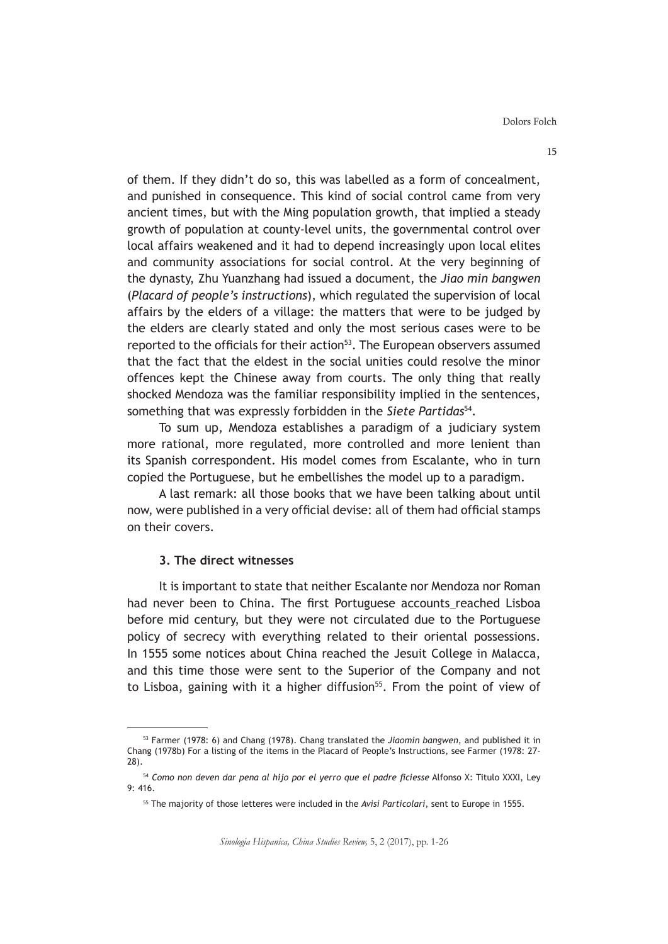of them. If they didn't do so, this was labelled as a form of concealment, and punished in consequence. This kind of social control came from very ancient times, but with the Ming population growth, that implied a steady growth of population at county-level units, the governmental control over local affairs weakened and it had to depend increasingly upon local elites and community associations for social control. At the very beginning of the dynasty, Zhu Yuanzhang had issued a document, the *Jiao min bangwen* (*Placard of people's instructions*), which regulated the supervision of local affairs by the elders of a village: the matters that were to be judged by the elders are clearly stated and only the most serious cases were to be reported to the officials for their action<sup>53</sup>. The European observers assumed that the fact that the eldest in the social unities could resolve the minor offences kept the Chinese away from courts. The only thing that really shocked Mendoza was the familiar responsibility implied in the sentences, something that was expressly forbidden in the *Siete Partidas*54.

To sum up, Mendoza establishes a paradigm of a judiciary system more rational, more regulated, more controlled and more lenient than its Spanish correspondent. His model comes from Escalante, who in turn copied the Portuguese, but he embellishes the model up to a paradigm.

A last remark: all those books that we have been talking about until now, were published in a very official devise: all of them had official stamps on their covers.

## **3. The direct witnesses**

It is important to state that neither Escalante nor Mendoza nor Roman had never been to China. The first Portuguese accounts reached Lisboa before mid century, but they were not circulated due to the Portuguese policy of secrecy with everything related to their oriental possessions. In 1555 some notices about China reached the Jesuit College in Malacca, and this time those were sent to the Superior of the Company and not to Lisboa, gaining with it a higher diffusion<sup>55</sup>. From the point of view of

<sup>53</sup> Farmer (1978: 6) and Chang (1978). Chang translated the *Jiaomin bangwen,* and published it in Chang (1978b) For a listing of the items in the Placard of People's Instructions, see Farmer (1978: 27- 28).

<sup>54</sup> *Como non deven dar pena al hijo por el yerro que el padre ficiesse* Alfonso X: Titulo XXXI, Ley 9: 416.

<sup>55</sup> The majority of those letteres were included in the *Avisi Particolari*, sent to Europe in 1555.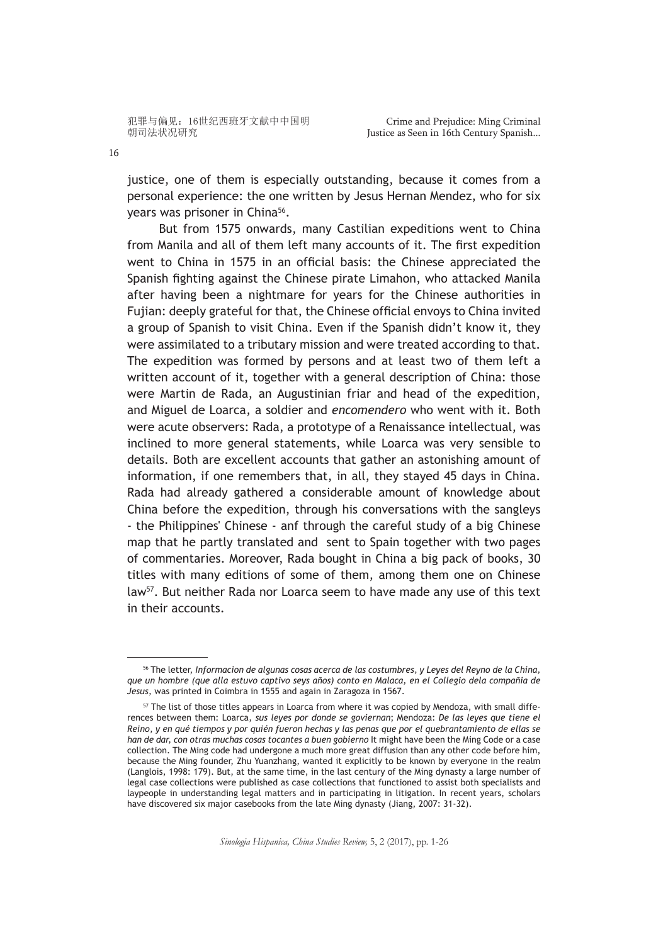justice, one of them is especially outstanding, because it comes from a personal experience: the one written by Jesus Hernan Mendez, who for six years was prisoner in China<sup>56</sup>.

But from 1575 onwards, many Castilian expeditions went to China from Manila and all of them left many accounts of it. The first expedition went to China in 1575 in an official basis: the Chinese appreciated the Spanish fighting against the Chinese pirate Limahon, who attacked Manila after having been a nightmare for years for the Chinese authorities in Fujian: deeply grateful for that, the Chinese official envoys to China invited a group of Spanish to visit China. Even if the Spanish didn't know it, they were assimilated to a tributary mission and were treated according to that. The expedition was formed by persons and at least two of them left a written account of it, together with a general description of China: those were Martin de Rada, an Augustinian friar and head of the expedition, and Miguel de Loarca, a soldier and *encomendero* who went with it. Both were acute observers: Rada, a prototype of a Renaissance intellectual, was inclined to more general statements, while Loarca was very sensible to details. Both are excellent accounts that gather an astonishing amount of information, if one remembers that, in all, they stayed 45 days in China. Rada had already gathered a considerable amount of knowledge about China before the expedition, through his conversations with the sangleys - the Philippines' Chinese - anf through the careful study of a big Chinese map that he partly translated and sent to Spain together with two pages of commentaries. Moreover, Rada bought in China a big pack of books, 30 titles with many editions of some of them, among them one on Chinese law<sup>57</sup>. But neither Rada nor Loarca seem to have made any use of this text in their accounts.

<sup>56</sup> The letter, *Informacion de algunas cosas acerca de las costumbres, y Leyes del Reyno de la China, que un hombre (que alla estuvo captivo seys años) conto en Malaca, en el Collegio dela compañia de Jesus,* was printed in Coimbra in 1555 and again in Zaragoza in 1567.

<sup>&</sup>lt;sup>57</sup> The list of those titles appears in Loarca from where it was copied by Mendoza, with small differences between them: Loarca, *sus leyes por donde se goviernan*; Mendoza: *De las leyes que tiene el Reino, y en qué tiempos y por quién fueron hechas y las penas que por el quebrantamiento de ellas se han de dar, con otras muchas cosas tocantes a buen gobierno* It might have been the Ming Code or a case collection. The Ming code had undergone a much more great diffusion than any other code before him, because the Ming founder, Zhu Yuanzhang, wanted it explicitly to be known by everyone in the realm (Langlois, 1998: 179). But, at the same time, in the last century of the Ming dynasty a large number of legal case collections were published as case collections that functioned to assist both specialists and laypeople in understanding legal matters and in participating in litigation. In recent years, scholars have discovered six major casebooks from the late Ming dynasty (Jiang, 2007: 31-32).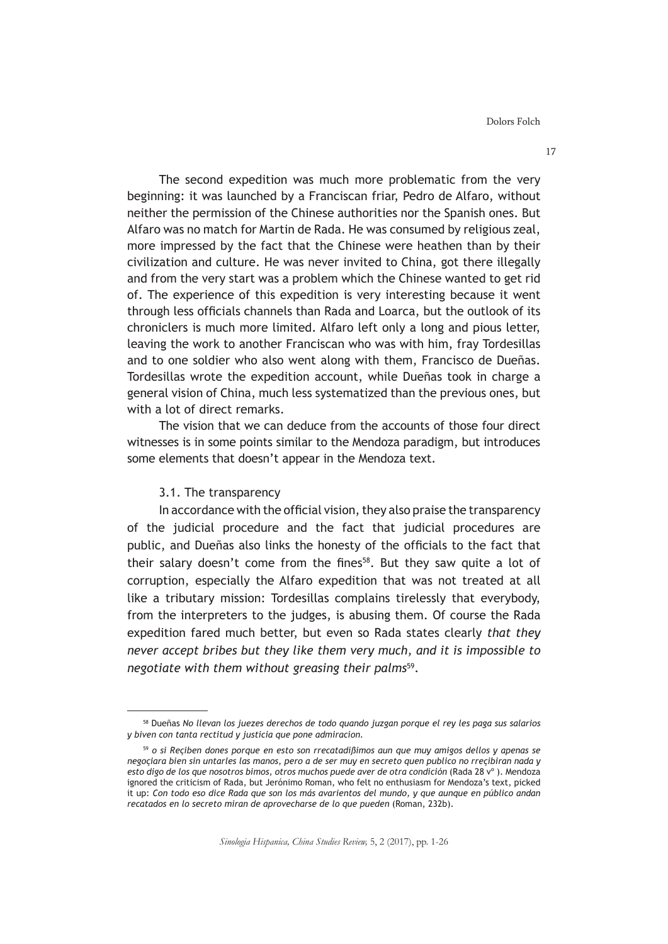Dolors Folch

The second expedition was much more problematic from the very beginning: it was launched by a Franciscan friar, Pedro de Alfaro, without neither the permission of the Chinese authorities nor the Spanish ones. But Alfaro was no match for Martin de Rada. He was consumed by religious zeal, more impressed by the fact that the Chinese were heathen than by their civilization and culture. He was never invited to China, got there illegally and from the very start was a problem which the Chinese wanted to get rid of. The experience of this expedition is very interesting because it went through less officials channels than Rada and Loarca, but the outlook of its chroniclers is much more limited. Alfaro left only a long and pious letter, leaving the work to another Franciscan who was with him, fray Tordesillas and to one soldier who also went along with them, Francisco de Dueñas. Tordesillas wrote the expedition account, while Dueñas took in charge a general vision of China, much less systematized than the previous ones, but with a lot of direct remarks.

The vision that we can deduce from the accounts of those four direct witnesses is in some points similar to the Mendoza paradigm, but introduces some elements that doesn't appear in the Mendoza text.

#### 3.1. The transparency

In accordance with the official vision, they also praise the transparency of the judicial procedure and the fact that judicial procedures are public, and Dueñas also links the honesty of the officials to the fact that their salary doesn't come from the fines<sup>58</sup>. But they saw quite a lot of corruption, especially the Alfaro expedition that was not treated at all like a tributary mission: Tordesillas complains tirelessly that everybody, from the interpreters to the judges, is abusing them. Of course the Rada expedition fared much better, but even so Rada states clearly *that they never accept bribes but they like them very much, and it is impossible to negotiate with them without greasing their palms*59.

<sup>58</sup> Dueñas *No llevan los juezes derechos de todo quando juzgan porque el rey les paga sus salarios y biven con tanta rectitud y justicia que pone admiracion.*

<sup>59</sup> *o si Reçiben dones porque en esto son rrecatadißimos aun que muy amigos dellos y apenas se negoçiara bien sin untarles las manos, pero a de ser muy en secreto quen publico no rreçibiran nada y esto digo de los que nosotros bimos, otros muchos puede aver de otra condición* (Rada 28 vº ). Mendoza ignored the criticism of Rada, but Jerónimo Roman, who felt no enthusiasm for Mendoza's text, picked it up: *Con todo eso dice Rada que son los más avarientos del mundo, y que aunque en público andan recatados en lo secreto miran de aprovecharse de lo que pueden* (Roman, 232b).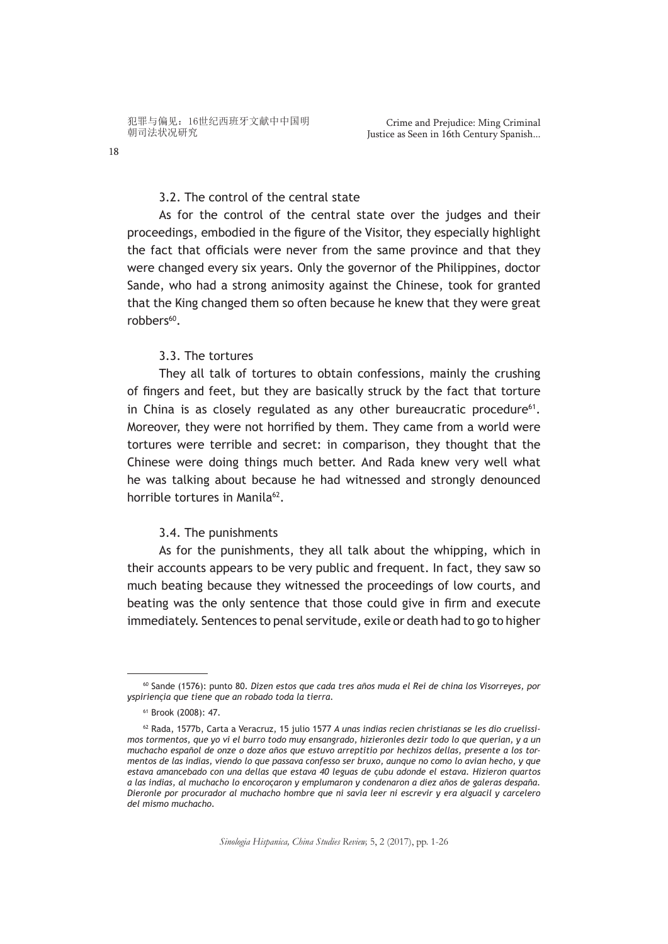3.2. The control of the central state

As for the control of the central state over the judges and their proceedings, embodied in the figure of the Visitor, they especially highlight the fact that officials were never from the same province and that they were changed every six years. Only the governor of the Philippines, doctor Sande, who had a strong animosity against the Chinese, took for granted that the King changed them so often because he knew that they were great robbers<sup>60</sup>.

## 3.3. The tortures

They all talk of tortures to obtain confessions, mainly the crushing of fingers and feet, but they are basically struck by the fact that torture in China is as closely regulated as any other bureaucratic procedure<sup>61</sup>. Moreover, they were not horrified by them. They came from a world were tortures were terrible and secret: in comparison, they thought that the Chinese were doing things much better. And Rada knew very well what he was talking about because he had witnessed and strongly denounced horrible tortures in Manila<sup>62</sup>.

## 3.4. The punishments

As for the punishments, they all talk about the whipping, which in their accounts appears to be very public and frequent. In fact, they saw so much beating because they witnessed the proceedings of low courts, and beating was the only sentence that those could give in firm and execute immediately. Sentences to penal servitude, exile or death had to go to higher

<sup>60</sup> Sande (1576): punto 80. *Dizen estos que cada tres años muda el Rei de china los Visorreyes, por yspiriençia que tiene que an robado toda la tierra.*

<sup>61</sup> Brook (2008): 47.

<sup>62</sup> Rada, 1577b, Carta a Veracruz, 15 julio 1577 *A unas indias recien christianas se les dio cruelissimos tormentos, que yo vi el burro todo muy ensangrado, hizieronles dezir todo lo que querian, y a un muchacho español de onze o doze años que estuvo arreptitio por hechizos dellas, presente a los tormentos de las indias, viendo lo que passava confesso ser bruxo, aunque no como lo avian hecho, y que estava amancebado con una dellas que estava 40 leguas de çubu adonde el estava. Hizieron quartos a las indias, al muchacho lo encoroçaron y emplumaron y condenaron a diez años de galeras despaña. Dieronle por procurador al muchacho hombre que ni savia leer ni escrevir y era alguacil y carcelero del mismo muchacho.*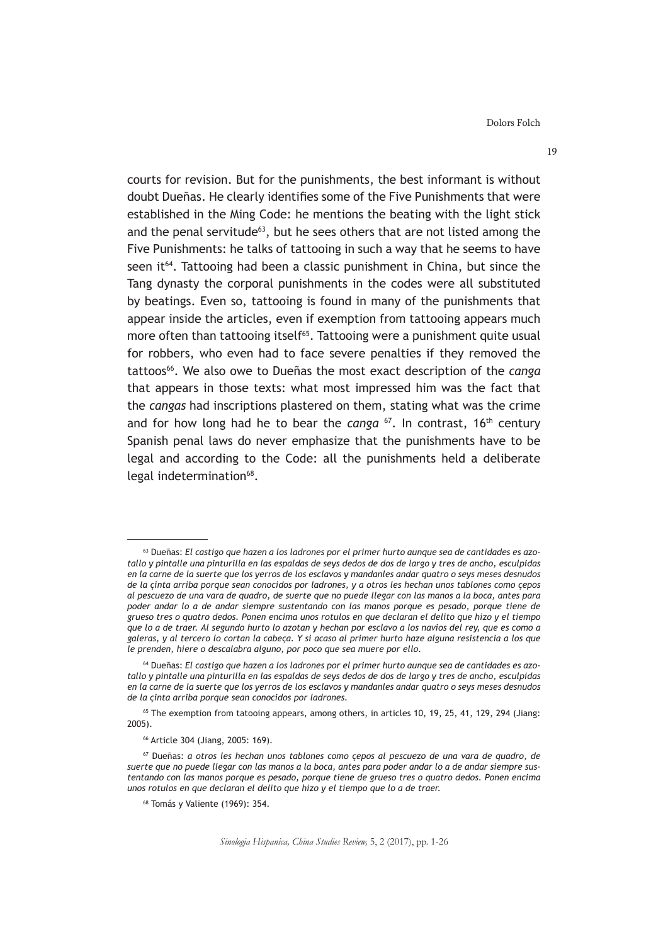Dolors Folch

courts for revision. But for the punishments, the best informant is without doubt Dueñas. He clearly identifies some of the Five Punishments that were established in the Ming Code: he mentions the beating with the light stick and the penal servitude<sup>63</sup>, but he sees others that are not listed among the Five Punishments: he talks of tattooing in such a way that he seems to have seen it<sup>64</sup>. Tattooing had been a classic punishment in China, but since the Tang dynasty the corporal punishments in the codes were all substituted by beatings. Even so, tattooing is found in many of the punishments that appear inside the articles, even if exemption from tattooing appears much more often than tattooing itself<sup>65</sup>. Tattooing were a punishment quite usual for robbers, who even had to face severe penalties if they removed the tattoos<sup>66</sup>. We also owe to Dueñas the most exact description of the *canga* that appears in those texts: what most impressed him was the fact that the *cangas* had inscriptions plastered on them, stating what was the crime and for how long had he to bear the *canga* <sup>67</sup>. In contrast, 16<sup>th</sup> century Spanish penal laws do never emphasize that the punishments have to be legal and according to the Code: all the punishments held a deliberate legal indetermination<sup>68</sup>.

<sup>63</sup> Dueñas: *El castigo que hazen a los ladrones por el primer hurto aunque sea de cantidades es azotallo y pintalle una pinturilla en las espaldas de seys dedos de dos de largo y tres de ancho, esculpidas en la carne de la suerte que los yerros de los esclavos y mandanles andar quatro o seys meses desnudos de la çinta arriba porque sean conocidos por ladrones, y a otros les hechan unos tablones como çepos al pescuezo de una vara de quadro, de suerte que no puede llegar con las manos a la boca, antes para poder andar lo a de andar siempre sustentando con las manos porque es pesado, porque tiene de grueso tres o quatro dedos. Ponen encima unos rotulos en que declaran el delito que hizo y el tiempo que lo a de traer. Al segundo hurto lo azotan y hechan por esclavo a los navios del rey, que es como a galeras, y al tercero lo cortan la cabeça. Y si acaso al primer hurto haze alguna resistencia a los que le prenden, hiere o descalabra alguno, por poco que sea muere por ello.*

<sup>64</sup> Dueñas: *El castigo que hazen a los ladrones por el primer hurto aunque sea de cantidades es azotallo y pintalle una pinturilla en las espaldas de seys dedos de dos de largo y tres de ancho, esculpidas en la carne de la suerte que los yerros de los esclavos y mandanles andar quatro o seys meses desnudos de la çinta arriba porque sean conocidos por ladrones.*

<sup>65</sup> The exemption from tatooing appears, among others, in articles 10, 19, 25, 41, 129, 294 (Jiang: 2005).

<sup>66</sup> Article 304 (Jiang, 2005: 169).

<sup>67</sup> Dueñas: *a otros les hechan unos tablones como çepos al pescuezo de una vara de quadro, de suerte que no puede llegar con las manos a la boca, antes para poder andar lo a de andar siempre sustentando con las manos porque es pesado, porque tiene de grueso tres o quatro dedos. Ponen encima unos rotulos en que declaran el delito que hizo y el tiempo que lo a de traer.*

<sup>68</sup> Tomás y Valiente (1969): 354.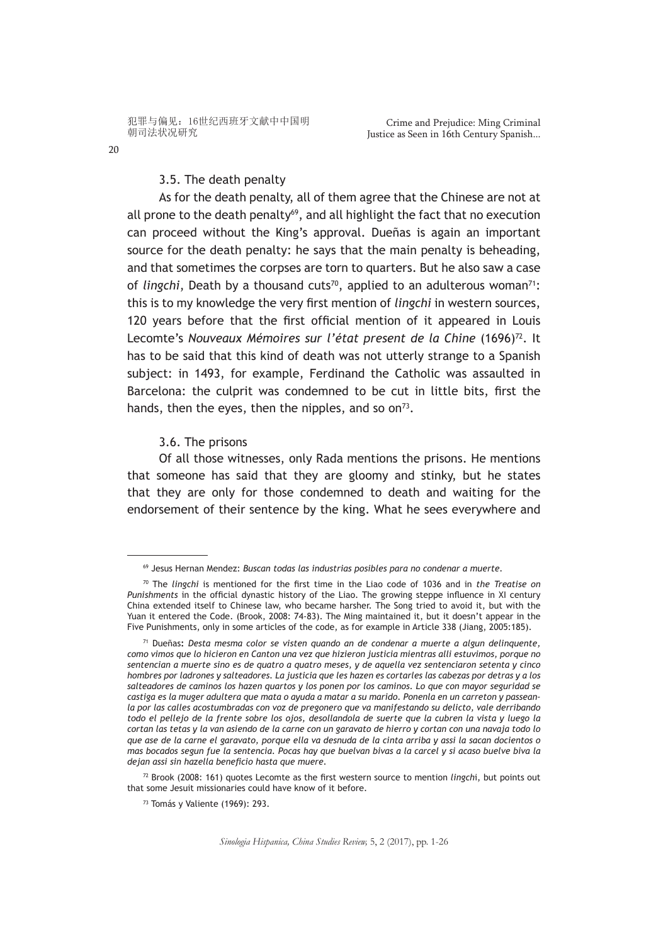# 3.5. The death penalty

As for the death penalty, all of them agree that the Chinese are not at all prone to the death penalty $69$ , and all highlight the fact that no execution can proceed without the King's approval. Dueñas is again an important source for the death penalty: he says that the main penalty is beheading, and that sometimes the corpses are torn to quarters. But he also saw a case of *lingchi*, Death by a thousand cuts<sup>70</sup>, applied to an adulterous woman<sup>71</sup>: this is to my knowledge the very first mention of *lingchi* in western sources, 120 years before that the first official mention of it appeared in Louis Lecomte's *Nouveaux Mémoires sur l'état present de la Chine* (1696)<sup>72</sup>. It has to be said that this kind of death was not utterly strange to a Spanish subject: in 1493, for example, Ferdinand the Catholic was assaulted in Barcelona: the culprit was condemned to be cut in little bits, first the hands, then the eyes, then the nipples, and so on<sup>73</sup>.

#### 3.6. The prisons

Of all those witnesses, only Rada mentions the prisons. He mentions that someone has said that they are gloomy and stinky, but he states that they are only for those condemned to death and waiting for the endorsement of their sentence by the king. What he sees everywhere and

<sup>72</sup> Brook (2008: 161) quotes Lecomte as the first western source to mention *lingch*i, but points out that some Jesuit missionaries could have know of it before.

<sup>69</sup> Jesus Hernan Mendez: *Buscan todas las industrias posibles para no condenar a muerte.*

<sup>70</sup> The *lingchi* is mentioned for the first time in the Liao code of 1036 and in *the Treatise on Punishments* in the official dynastic history of the Liao. The growing steppe influence in XI century China extended itself to Chinese law, who became harsher. The Song tried to avoid it, but with the Yuan it entered the Code. (Brook, 2008: 74-83). The Ming maintained it, but it doesn't appear in the Five Punishments, only in some articles of the code, as for example in Article 338 (Jiang, 2005:185).

<sup>71</sup> Dueñas**:** *Desta mesma color se visten quando an de condenar a muerte a algun delinquente, como vimos que lo hicieron en Canton una vez que hizieron justicia mientras alli estuvimos, porque no sentencian a muerte sino es de quatro a quatro meses, y de aquella vez sentenciaron setenta y cinco hombres por ladrones y salteadores. La justicia que les hazen es cortarles las cabezas por detras y a los salteadores de caminos los hazen quartos y los ponen por los caminos. Lo que con mayor seguridad se castiga es la muger adultera que mata o ayuda a matar a su marido. Ponenla en un carreton y passeanla por las calles acostumbradas con voz de pregonero que va manifestando su delicto, vale derribando todo el pellejo de la frente sobre los ojos, desollandola de suerte que la cubren la vista y luego la cortan las tetas y la van asiendo de la carne con un garavato de hierro y cortan con una navaja todo lo que ase de la carne el garavato, porque ella va desnuda de la cinta arriba y assi la sacan docientos o mas bocados segun fue la sentencia. Pocas hay que buelvan bivas a la carcel y si acaso buelve biva la dejan assi sin hazella beneficio hasta que muere.*

<sup>73</sup> Tomás y Valiente (1969): 293.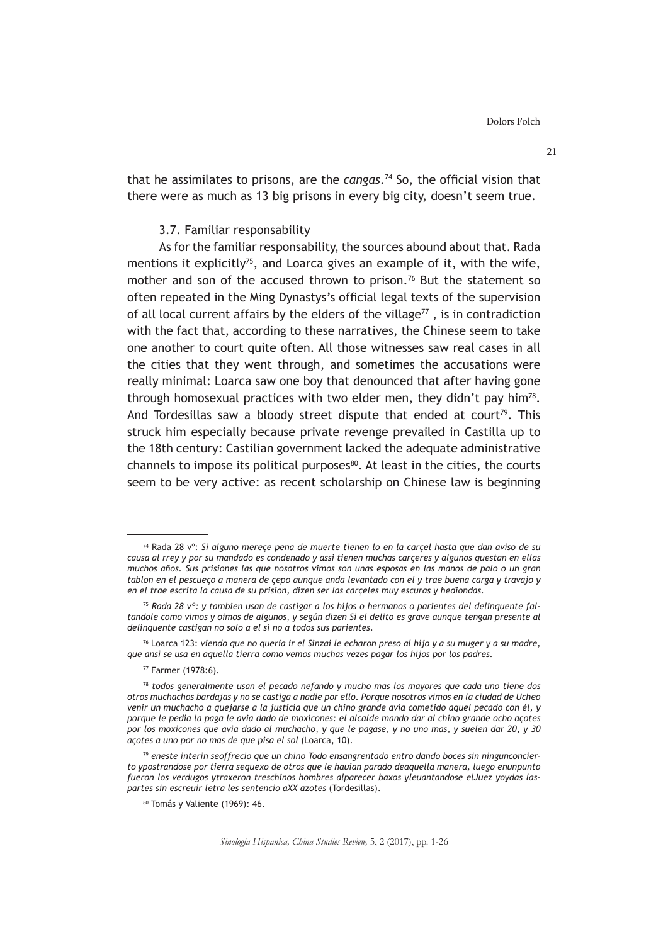that he assimilates to prisons, are the *cangas*.74 So, the official vision that there were as much as 13 big prisons in every big city, doesn't seem true.

### 3.7. Familiar responsability

As for the familiar responsability, the sources abound about that. Rada mentions it explicitly<sup>75</sup>, and Loarca gives an example of it, with the wife, mother and son of the accused thrown to prison.<sup>76</sup> But the statement so often repeated in the Ming Dynastys's official legal texts of the supervision of all local current affairs by the elders of the village $77$ , is in contradiction with the fact that, according to these narratives, the Chinese seem to take one another to court quite often. All those witnesses saw real cases in all the cities that they went through, and sometimes the accusations were really minimal: Loarca saw one boy that denounced that after having gone through homosexual practices with two elder men, they didn't pay him<sup>78</sup>. And Tordesillas saw a bloody street dispute that ended at court<sup>79</sup>. This struck him especially because private revenge prevailed in Castilla up to the 18th century: Castilian government lacked the adequate administrative channels to impose its political purposes<sup>80</sup>. At least in the cities, the courts seem to be very active: as recent scholarship on Chinese law is beginning

<sup>74</sup> Rada 28 vº: *Si alguno mereçe pena de muerte tienen lo en la carçel hasta que dan aviso de su causa al rrey y por su mandado es condenado y assi tienen muchas carçeres y algunos questan en ellas muchos años. Sus prisiones las que nosotros vimos son unas esposas en las manos de palo o un gran tablon en el pescueço a manera de çepo aunque anda levantado con el y trae buena carga y travajo y en el trae escrita la causa de su prision, dizen ser las carçeles muy escuras y hediondas.*

<sup>75</sup> *Rada 28 vº: y tambien usan de castigar a los hijos o hermanos o parientes del delinquente faltandole como vimos y oimos de algunos, y según dizen Si el delito es grave aunque tengan presente al delinquente castigan no solo a el si no a todos sus parientes.*

<sup>76</sup> Loarca 123: *viendo que no queria ir el Sinzai le echaron preso al hijo y a su muger y a su madre, que ansi se usa en aquella tierra como vemos muchas vezes pagar los hijos por los padres.*

<sup>77</sup> Farmer (1978:6).

<sup>78</sup> *todos generalmente usan el pecado nefando y mucho mas los mayores que cada uno tiene dos otros muchachos bardajas y no se castiga a nadie por ello. Porque nosotros vimos en la ciudad de Ucheo venir un muchacho a quejarse a la justicia que un chino grande avia cometido aquel pecado con él, y porque le pedía la paga le avia dado de moxicones: el alcalde mando dar al chino grande ocho açotes por los moxicones que avia dado al muchacho, y que le pagase, y no uno mas, y suelen dar 20, y 30 açotes a uno por no mas de que pisa el sol* (Loarca, 10).

<sup>79</sup> *eneste interin seoffrecio que un chino Todo ensangrentado entro dando boces sin ningunconcierto ypostrandose por tierra sequexo de otros que le hauian parado deaquella manera, luego enunpunto fueron los verdugos ytraxeron treschinos hombres alparecer baxos yleuantandose elJuez yoydas laspartes sin escreuir letra les sentencio aXX azotes* (Tordesillas).

<sup>80</sup> Tomás y Valiente (1969): 46.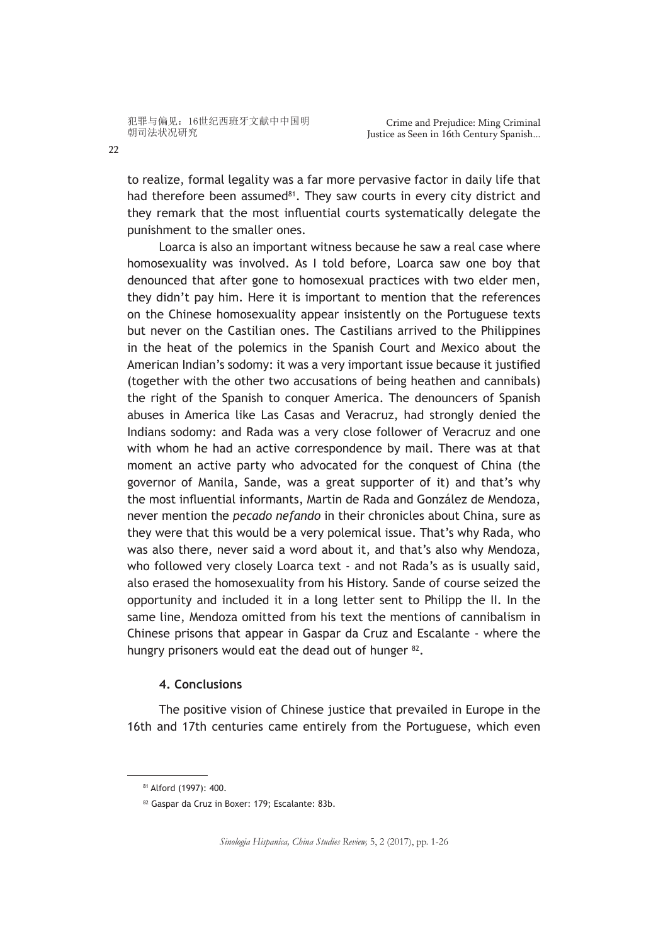to realize, formal legality was a far more pervasive factor in daily life that had therefore been assumed<sup>81</sup>. They saw courts in every city district and they remark that the most influential courts systematically delegate the punishment to the smaller ones.

Loarca is also an important witness because he saw a real case where homosexuality was involved. As I told before, Loarca saw one boy that denounced that after gone to homosexual practices with two elder men, they didn't pay him. Here it is important to mention that the references on the Chinese homosexuality appear insistently on the Portuguese texts but never on the Castilian ones. The Castilians arrived to the Philippines in the heat of the polemics in the Spanish Court and Mexico about the American Indian's sodomy: it was a very important issue because it justified (together with the other two accusations of being heathen and cannibals) the right of the Spanish to conquer America. The denouncers of Spanish abuses in America like Las Casas and Veracruz, had strongly denied the Indians sodomy: and Rada was a very close follower of Veracruz and one with whom he had an active correspondence by mail. There was at that moment an active party who advocated for the conquest of China (the governor of Manila, Sande, was a great supporter of it) and that's why the most influential informants, Martin de Rada and González de Mendoza, never mention the *pecado nefando* in their chronicles about China, sure as they were that this would be a very polemical issue. That's why Rada, who was also there, never said a word about it, and that's also why Mendoza, who followed very closely Loarca text - and not Rada's as is usually said, also erased the homosexuality from his History. Sande of course seized the opportunity and included it in a long letter sent to Philipp the II. In the same line, Mendoza omitted from his text the mentions of cannibalism in Chinese prisons that appear in Gaspar da Cruz and Escalante - where the hungry prisoners would eat the dead out of hunger <sup>82</sup>.

# **4. Conclusions**

The positive vision of Chinese justice that prevailed in Europe in the 16th and 17th centuries came entirely from the Portuguese, which even

*Sinologia Hispanica, China Studies Review,* 5, 2 (2017), pp. 1-26

<sup>81</sup> Alford (1997): 400.

<sup>82</sup> Gaspar da Cruz in Boxer: 179; Escalante: 83b.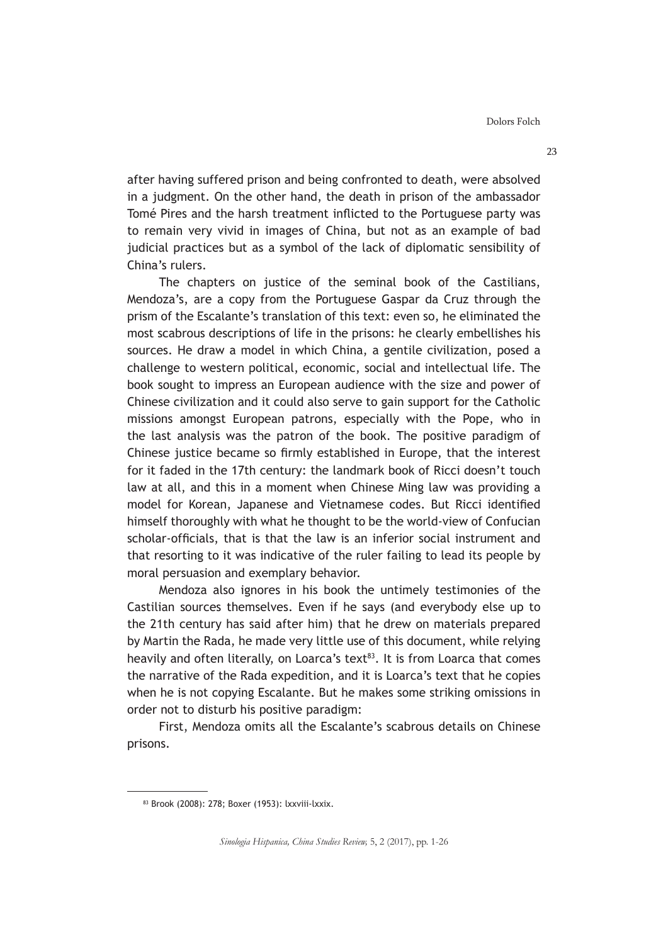after having suffered prison and being confronted to death, were absolved in a judgment. On the other hand, the death in prison of the ambassador Tomé Pires and the harsh treatment inflicted to the Portuguese party was to remain very vivid in images of China, but not as an example of bad judicial practices but as a symbol of the lack of diplomatic sensibility of China's rulers.

The chapters on justice of the seminal book of the Castilians, Mendoza's, are a copy from the Portuguese Gaspar da Cruz through the prism of the Escalante's translation of this text: even so, he eliminated the most scabrous descriptions of life in the prisons: he clearly embellishes his sources. He draw a model in which China, a gentile civilization, posed a challenge to western political, economic, social and intellectual life. The book sought to impress an European audience with the size and power of Chinese civilization and it could also serve to gain support for the Catholic missions amongst European patrons, especially with the Pope, who in the last analysis was the patron of the book. The positive paradigm of Chinese justice became so firmly established in Europe, that the interest for it faded in the 17th century: the landmark book of Ricci doesn't touch law at all, and this in a moment when Chinese Ming law was providing a model for Korean, Japanese and Vietnamese codes. But Ricci identified himself thoroughly with what he thought to be the world-view of Confucian scholar-officials, that is that the law is an inferior social instrument and that resorting to it was indicative of the ruler failing to lead its people by moral persuasion and exemplary behavior.

Mendoza also ignores in his book the untimely testimonies of the Castilian sources themselves. Even if he says (and everybody else up to the 21th century has said after him) that he drew on materials prepared by Martin the Rada, he made very little use of this document, while relying heavily and often literally, on Loarca's text $^{83}$ . It is from Loarca that comes the narrative of the Rada expedition, and it is Loarca's text that he copies when he is not copying Escalante. But he makes some striking omissions in order not to disturb his positive paradigm:

First, Mendoza omits all the Escalante's scabrous details on Chinese prisons.

<sup>83</sup> Brook (2008): 278; Boxer (1953): lxxviii-lxxix.

*Sinologia Hispanica, China Studies Review,* 5, 2 (2017), pp. 1-26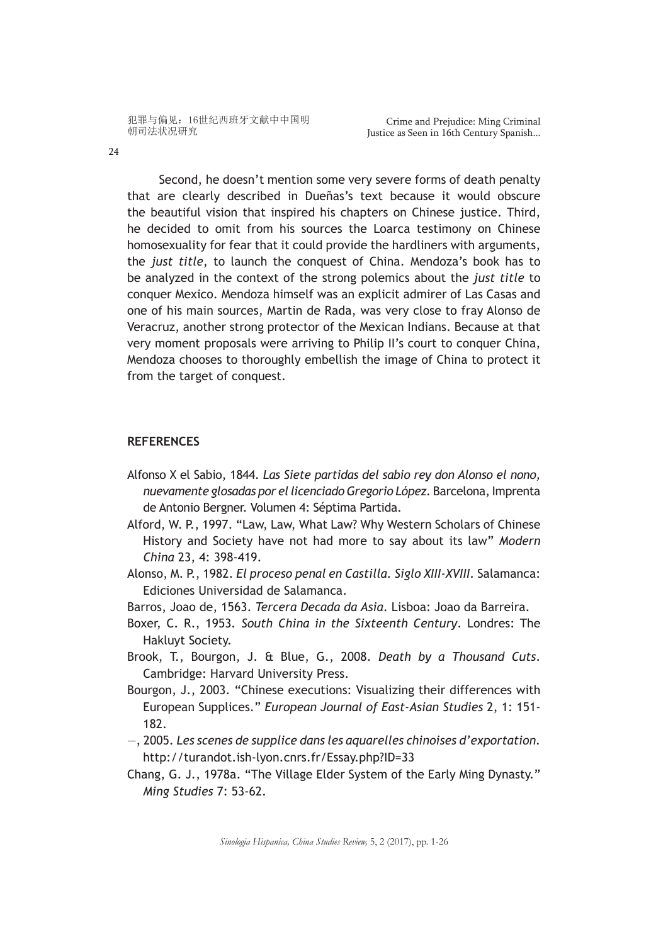Second, he doesn't mention some very severe forms of death penalty that are clearly described in Dueñas's text because it would obscure the beautiful vision that inspired his chapters on Chinese justice. Third, he decided to omit from his sources the Loarca testimony on Chinese homosexuality for fear that it could provide the hardliners with arguments, the *just title*, to launch the conquest of China. Mendoza's book has to be analyzed in the context of the strong polemics about the *just title* to conquer Mexico. Mendoza himself was an explicit admirer of Las Casas and one of his main sources, Martin de Rada, was very close to fray Alonso de Veracruz, another strong protector of the Mexican Indians. Because at that very moment proposals were arriving to Philip II's court to conquer China, Mendoza chooses to thoroughly embellish the image of China to protect it from the target of conquest.

## **REFERENCES**

- Alfonso X el Sabio, 1844. *Las Siete partidas del sabio rey don Alonso el nono, nuevamente glosadas por el licenciado Gregorio López.* Barcelona, Imprenta de Antonio Bergner. Volumen 4: Séptima Partida.
- Alford, W. P., 1997. "Law, Law, What Law? Why Western Scholars of Chinese History and Society have not had more to say about its law" *Modern China* 23, 4: 398-419.
- Alonso, M. P., 1982. *El proceso penal en Castilla. Siglo XIII-XVIII.* Salamanca: Ediciones Universidad de Salamanca.
- Barros, Joao de, 1563. *Tercera Decada da Asia*. Lisboa: Joao da Barreira.
- Boxer, C. R., 1953*. South China in the Sixteenth Century*. Londres: The Hakluyt Society.
- Brook, T., Bourgon, J. & Blue, G., 2008. *Death by a Thousand Cuts*. Cambridge: Harvard University Press.
- Bourgon, J., 2003. "Chinese executions: Visualizing their differences with European Supplices." *European Journal of East-Asian Studies* 2, 1: 151- 182.
- —, 2005. *Les scenes de supplice dans les aquarelles chinoises d'exportation.* http://turandot.ish-lyon.cnrs.fr/Essay.php?ID=33
- Chang, G. J., 1978a. "The Village Elder System of the Early Ming Dynasty." *Ming Studies* 7: 53-62.

*Sinologia Hispanica, China Studies Review,* 5, 2 (2017), pp. 1-26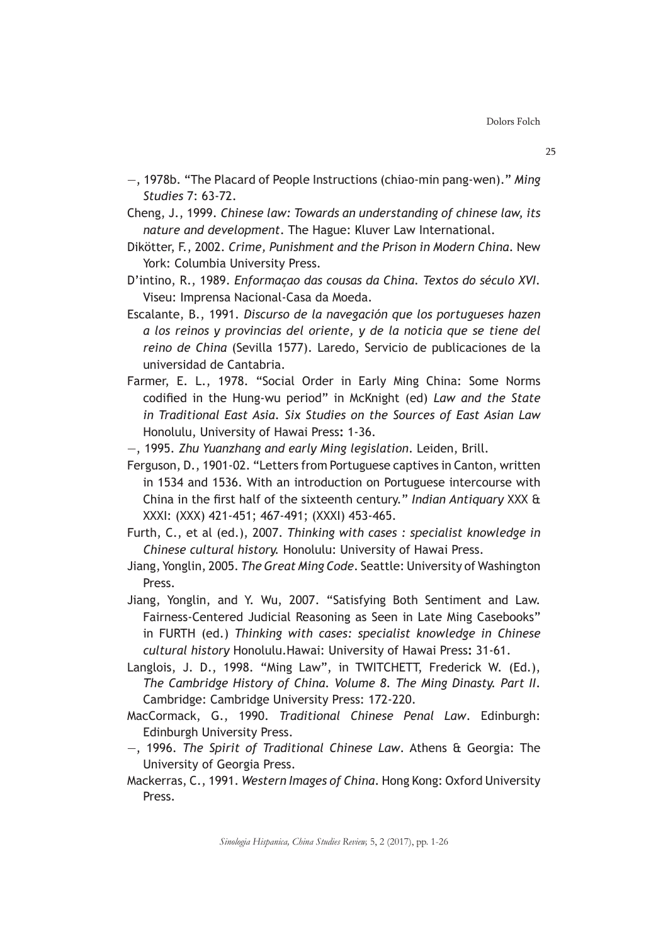- —, 1978b. "The Placard of People Instructions (chiao-min pang-wen)." *Ming Studies* 7: 63-72.
- Cheng, J., 1999. *Chinese law: Towards an understanding of chinese law, its nature and development*. The Hague: Kluver Law International.
- Dikötter, F., 2002. *Crime, Punishment and the Prison in Modern China*. New York: Columbia University Press.
- D'intino, R., 1989. *Enformaçao das cousas da China. Textos do século XVI.* Viseu: Imprensa Nacional-Casa da Moeda.
- Escalante, B., 1991. *Discurso de la navegación que los portugueses hazen a los reinos y provincias del oriente, y de la noticia que se tiene del reino de China* (Sevilla 1577). Laredo, Servicio de publicaciones de la universidad de Cantabria.
- Farmer, E. L., 1978. "Social Order in Early Ming China: Some Norms codified in the Hung-wu period" in McKnight (ed) *Law and the State in Traditional East Asia. Six Studies on the Sources of East Asian Law* Honolulu, University of Hawai Press**:** 1-36.
- —, 1995. *Zhu Yuanzhang and early Ming legislation*. Leiden, Brill.
- Ferguson, D., 1901-02. "Letters from Portuguese captives in Canton, written in 1534 and 1536. With an introduction on Portuguese intercourse with China in the first half of the sixteenth century." *Indian Antiquary* XXX & XXXI: (XXX) 421-451; 467-491; (XXXI) 453-465.
- Furth, C., et al (ed.), 2007. *Thinking with cases : specialist knowledge in Chinese cultural history.* Honolulu: University of Hawai Press.
- Jiang, Yonglin, 2005. *The Great Ming Code*. Seattle: University of Washington Press.
- Jiang, Yonglin, and Y. Wu, 2007. "Satisfying Both Sentiment and Law. Fairness-Centered Judicial Reasoning as Seen in Late Ming Casebooks" in FURTH (ed.) *Thinking with cases: specialist knowledge in Chinese cultural history* Honolulu.Hawai: University of Hawai Press**:** 31-61.
- Langlois, J. D., 1998. "Ming Law", in TWITCHETT, Frederick W. (Ed.), *The Cambridge History of China. Volume 8. The Ming Dinasty. Part II*. Cambridge: Cambridge University Press: 172-220.
- MacCormack, G., 1990. *Traditional Chinese Penal Law*. Edinburgh: Edinburgh University Press.
- ―, 1996. *The Spirit of Traditional Chinese Law*. Athens & Georgia: The University of Georgia Press.
- Mackerras, C., 1991. *Western Images of China*. Hong Kong: Oxford University Press.